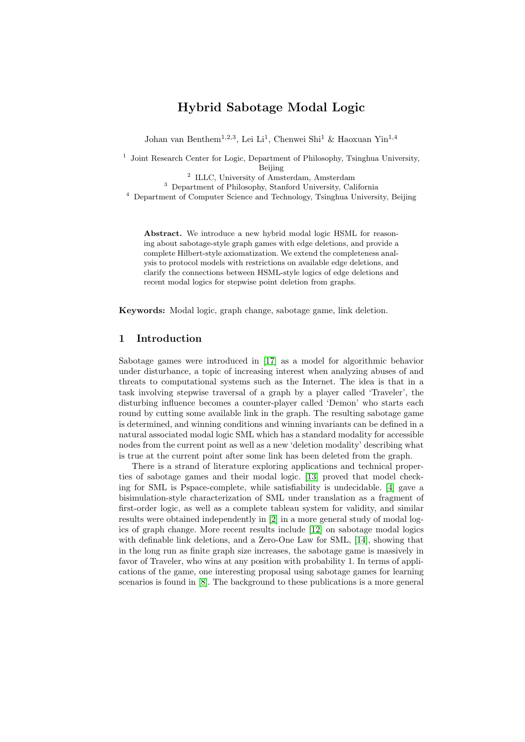# Hybrid Sabotage Modal Logic

Johan van Benthem<sup>1,2,3</sup>, Lei Li<sup>1</sup>, Chenwei Shi<sup>1</sup> & Haoxuan Yin<sup>1,4</sup>

<sup>1</sup> Joint Research Center for Logic, Department of Philosophy, Tsinghua University, Beijing

<sup>2</sup> ILLC, University of Amsterdam, Amsterdam

<sup>3</sup> Department of Philosophy, Stanford University, California

<sup>4</sup> Department of Computer Science and Technology, Tsinghua University, Beijing

Abstract. We introduce a new hybrid modal logic HSML for reasoning about sabotage-style graph games with edge deletions, and provide a complete Hilbert-style axiomatization. We extend the completeness analysis to protocol models with restrictions on available edge deletions, and clarify the connections between HSML-style logics of edge deletions and recent modal logics for stepwise point deletion from graphs.

Keywords: Modal logic, graph change, sabotage game, link deletion.

#### 1 Introduction

Sabotage games were introduced in [\[17\]](#page-24-0) as a model for algorithmic behavior under disturbance, a topic of increasing interest when analyzing abuses of and threats to computational systems such as the Internet. The idea is that in a task involving stepwise traversal of a graph by a player called 'Traveler', the disturbing influence becomes a counter-player called 'Demon' who starts each round by cutting some available link in the graph. The resulting sabotage game is determined, and winning conditions and winning invariants can be defined in a natural associated modal logic SML which has a standard modality for accessible nodes from the current point as well as a new 'deletion modality' describing what is true at the current point after some link has been deleted from the graph.

There is a strand of literature exploring applications and technical properties of sabotage games and their modal logic. [\[13\]](#page-24-1) proved that model checking for SML is Pspace-complete, while satisfiability is undecidable. [\[4\]](#page-23-0) gave a bisimulation-style characterization of SML under translation as a fragment of first-order logic, as well as a complete tableau system for validity, and similar results were obtained independently in [\[2\]](#page-23-1) in a more general study of modal logics of graph change. More recent results include [\[12\]](#page-24-2) on sabotage modal logics with definable link deletions, and a Zero-One Law for SML, [\[14\]](#page-24-3), showing that in the long run as finite graph size increases, the sabotage game is massively in favor of Traveler, who wins at any position with probability 1. In terms of applications of the game, one interesting proposal using sabotage games for learning scenarios is found in [\[8\]](#page-24-4). The background to these publications is a more general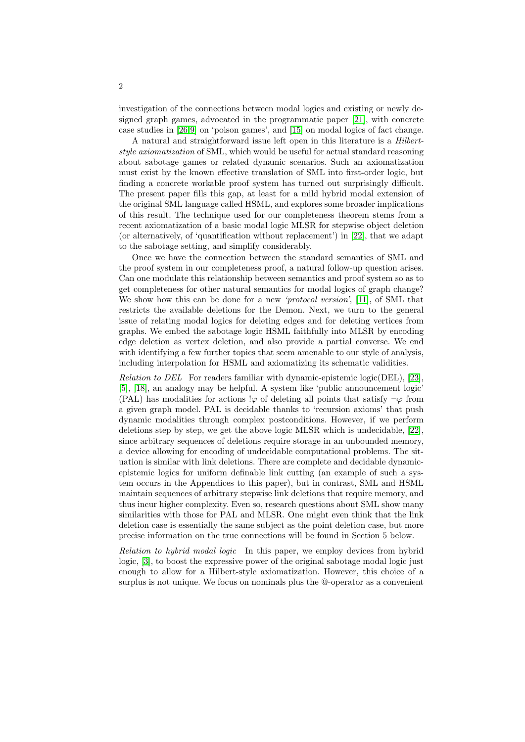investigation of the connections between modal logics and existing or newly designed graph games, advocated in the programmatic paper [\[21\]](#page-24-5), with concrete case studies in [\[26,](#page-25-0)[9\]](#page-24-6) on 'poison games', and [\[15\]](#page-24-7) on modal logics of fact change.

A natural and straightforward issue left open in this literature is a Hilbertstyle axiomatization of SML, which would be useful for actual standard reasoning about sabotage games or related dynamic scenarios. Such an axiomatization must exist by the known effective translation of SML into first-order logic, but finding a concrete workable proof system has turned out surprisingly difficult. The present paper fills this gap, at least for a mild hybrid modal extension of the original SML language called HSML, and explores some broader implications of this result. The technique used for our completeness theorem stems from a recent axiomatization of a basic modal logic MLSR for stepwise object deletion (or alternatively, of 'quantification without replacement') in [\[22\]](#page-24-8), that we adapt to the sabotage setting, and simplify considerably.

Once we have the connection between the standard semantics of SML and the proof system in our completeness proof, a natural follow-up question arises. Can one modulate this relationship between semantics and proof system so as to get completeness for other natural semantics for modal logics of graph change? We show how this can be done for a new *'protocol version'*, [\[11\]](#page-24-9), of SML that restricts the available deletions for the Demon. Next, we turn to the general issue of relating modal logics for deleting edges and for deleting vertices from graphs. We embed the sabotage logic HSML faithfully into MLSR by encoding edge deletion as vertex deletion, and also provide a partial converse. We end with identifying a few further topics that seem amenable to our style of analysis, including interpolation for HSML and axiomatizing its schematic validities.

Relation to DEL For readers familiar with dynamic-epistemic logic(DEL), [\[23\]](#page-24-10), [\[5\]](#page-23-2), [\[18\]](#page-24-11), an analogy may be helpful. A system like 'public announcement logic' (PAL) has modalities for actions  $\varphi$  of deleting all points that satisfy  $\neg \varphi$  from a given graph model. PAL is decidable thanks to 'recursion axioms' that push dynamic modalities through complex postconditions. However, if we perform deletions step by step, we get the above logic MLSR which is undecidable, [\[22\]](#page-24-8), since arbitrary sequences of deletions require storage in an unbounded memory, a device allowing for encoding of undecidable computational problems. The situation is similar with link deletions. There are complete and decidable dynamicepistemic logics for uniform definable link cutting (an example of such a system occurs in the Appendices to this paper), but in contrast, SML and HSML maintain sequences of arbitrary stepwise link deletions that require memory, and thus incur higher complexity. Even so, research questions about SML show many similarities with those for PAL and MLSR. One might even think that the link deletion case is essentially the same subject as the point deletion case, but more precise information on the true connections will be found in Section 5 below.

Relation to hybrid modal logic In this paper, we employ devices from hybrid logic, [\[3\]](#page-23-3), to boost the expressive power of the original sabotage modal logic just enough to allow for a Hilbert-style axiomatization. However, this choice of a surplus is not unique. We focus on nominals plus the @-operator as a convenient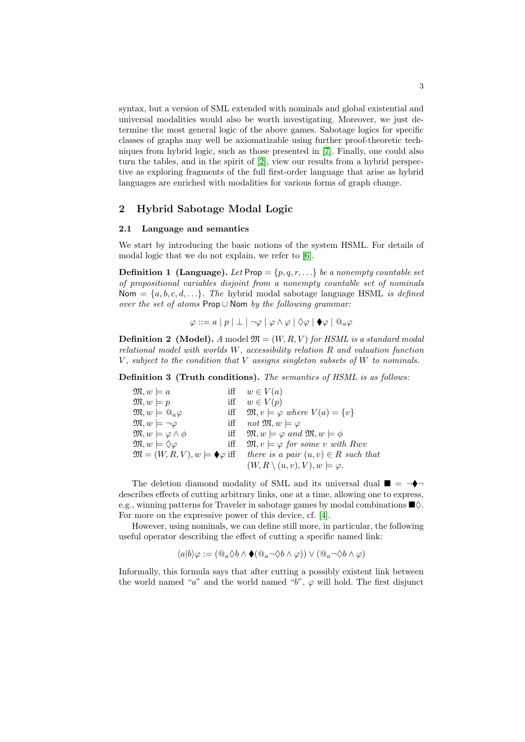syntax, but a version of SML extended with nominals and global existential and universal modalities would also be worth investigating. Moreover, we just determine the most general logic of the above games. Sabotage logics for specific classes of graphs may well be axiomatizable using further proof-theoretic techniques from hybrid logic, such as those presented in [\[7\]](#page-24-12). Finally, one could also turn the tables, and in the spirit of [\[2\]](#page-23-1), view our results from a hybrid perspective as exploring fragments of the full first-order language that arise as hybrid languages are enriched with modalities for various forms of graph change.

## 2 Hybrid Sabotage Modal Logic

#### 2.1 Language and semantics

We start by introducing the basic notions of the system HSML. For details of modal logic that we do not explain, we refer to [\[6\]](#page-23-4).

**Definition 1 (Language).** Let Prop =  $\{p,q,r,\ldots\}$  be a nonempty countable set of propositional variables disjoint from a nonempty countable set of nominals Nom =  $\{a, b, c, d, \ldots\}$ . The hybrid modal sabotage language HSML is defined over the set of atoms Prop  $\cup$  Nom by the following grammar:

 $\varphi ::= a \mid p \mid \perp \mid \neg \varphi \mid \varphi \wedge \varphi \mid \Diamond \varphi \mid \blacklozenge \varphi \mid @_{a} \varphi$ 

**Definition 2** (Model). A model  $\mathfrak{M} = (W, R, V)$  for HSML is a standard modal relational model with worlds W, accessibility relation R and valuation function  $V$ , subject to the condition that  $V$  assigns singleton subsets of  $W$  to nominals.

Definition 3 (Truth conditions). The semantics of HSML is as follows:

| $\mathfrak{M}, w \models a$                    |     | iff $w \in V(a)$                                                                                         |
|------------------------------------------------|-----|----------------------------------------------------------------------------------------------------------|
| $\mathfrak{M}, w \models p$                    |     | iff $w \in V(p)$                                                                                         |
| $\mathfrak{M}, w \models \mathbb{Q}_a \varphi$ |     | iff $\mathfrak{M}, v \models \varphi$ where $V(a) = \{v\}$                                               |
| $\mathfrak{M}, w \models \neg \varphi$         |     | iff not $\mathfrak{M}, w \models \varphi$                                                                |
| $\mathfrak{M}, w \models \varphi \land \phi$   |     | iff $\mathfrak{M}, w \models \varphi \text{ and } \mathfrak{M}, w \models \phi$                          |
| $\mathfrak{M}, w \models \Diamond \varphi$     | iff | $\mathfrak{M}, v \models \varphi$ for some v with Rwv                                                    |
|                                                |     | $\mathfrak{M} = (W, R, V), w \models \blacklozenge \varphi$ iff there is a pair $(u, v) \in R$ such that |
|                                                |     | $(W, R \setminus (u, v), V), w \models \varphi.$                                                         |

The deletion diamond modality of SML and its universal dual  $\blacksquare = \neg \blacklozenge \neg$ describes effects of cutting arbitrary links, one at a time, allowing one to express, e.g., winning patterns for Traveler in sabotage games by modal combinations  $\blacksquare \lozenge$ . For more on the expressive power of this device, cf. [\[4\]](#page-23-0).

However, using nominals, we can define still more, in particular, the following useful operator describing the effect of cutting a specific named link:

$$
\langle a|b\rangle\varphi:=(@_{a}\Diamond b\wedge\blacklozenge(@_{a}\neg\Diamond b\wedge\varphi))\vee(@_{a}\neg\Diamond b\wedge\varphi)
$$

Informally, this formula says that after cutting a possibly existent link between the world named "a" and the world named "b",  $\varphi$  will hold. The first disjunct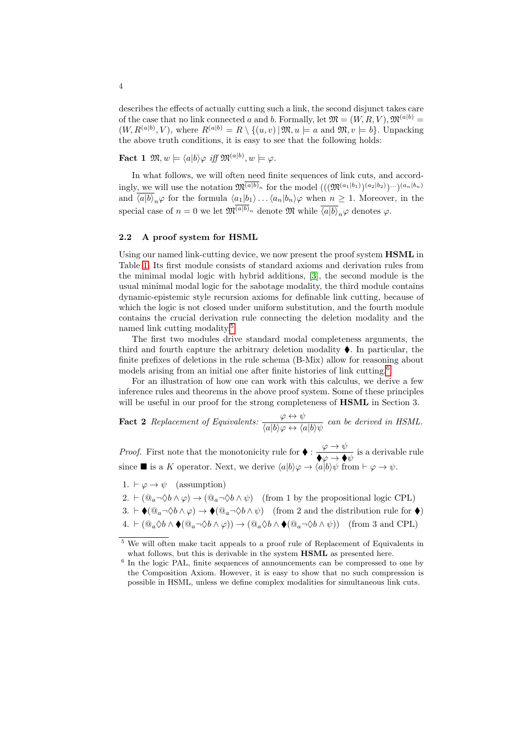describes the effects of actually cutting such a link, the second disjunct takes care of the case that no link connected a and b. Formally, let  $\mathfrak{M} = (W, R, V), \mathfrak{M}^{(a|b)} =$  $(W, R^{(a|b)}, V)$ , where  $R^{(a|b)} = R \setminus \{(u, v) | \mathfrak{M}, u \models a \text{ and } \mathfrak{M}, v \models b\}$ . Unpacking the above truth conditions, it is easy to see that the following holds:

<span id="page-3-2"></span> $\textbf{Fact 1 }\mathfrak{M}, w \models \langle a|b \rangle \varphi \textit{ iff } \mathfrak{M}^{(a|b)}, w \models \varphi.$ 

In what follows, we will often need finite sequences of link cuts, and accordingly, we will use the notation  $\mathfrak{M}^{(a|b)_n}$  for the model  $(((\mathfrak{M}^{(a_1|b_1)})^{(a_2|b_2)}) \cdots )^{(a_n|b_n)}$ and  $\langle a|b\rangle_n\varphi$  for the formula  $\langle a_1|b_1\rangle \dots \langle a_n|b_n\rangle\varphi$  when  $n \geq 1$ . Moreover, in the special case of  $n = 0$  we let  $\mathfrak{M}^{\overline{(a|b)}_n}$  denote  $\mathfrak{M}$  while  $\overline{\langle a|b \rangle}_n \varphi$  denotes  $\varphi$ .

#### 2.2 A proof system for HSML

Using our named link-cutting device, we now present the proof system HSML in Table [1.](#page-4-0) Its first module consists of standard axioms and derivation rules from the minimal modal logic with hybrid additions, [\[3\]](#page-23-3), the second module is the usual minimal modal logic for the sabotage modality, the third module contains dynamic-epistemic style recursion axioms for definable link cutting, because of which the logic is not closed under uniform substitution, and the fourth module contains the crucial derivation rule connecting the deletion modality and the named link cutting modality.<sup>[5](#page-3-0)</sup>

The first two modules drive standard modal completeness arguments, the third and fourth capture the arbitrary deletion modality  $\blacklozenge$ . In particular, the finite prefixes of deletions in the rule schema (B-Mix) allow for reasoning about models arising from an initial one after finite histories of link cutting.<sup>[6](#page-3-1)</sup>

For an illustration of how one can work with this calculus, we derive a few inference rules and theorems in the above proof system. Some of these principles will be useful in our proof for the strong completeness of **HSML** in Section 3.

**Fact 2** Replacement of Equivalents:  $\frac{\varphi \leftrightarrow \psi}{\langle a|b\rangle\varphi \leftrightarrow \langle a|b\rangle\psi}$  can be derived in HSML.

*Proof.* First note that the monotonicity rule for  $\blacklozenge$  :  $\frac{\varphi \to \psi}{\blacktriangle}$  $\overline{\mathbf{\bullet}\varphi\rightarrow\mathbf{\bullet}\psi}$  is a derivable rule since  $\blacksquare$  is a K operator. Next, we derive  $\langle a|b\rangle\varphi \to \langle a|b\rangle\psi$  from  $\vdash \varphi \to \psi$ .

- 1.  $\vdash \varphi \rightarrow \psi$  (assumption)
- 2.  $\vdash (\mathbb{Q}_a\neg \Diamond b \land \varphi) \rightarrow (\mathbb{Q}_a\neg \Diamond b \land \psi)$  (from 1 by the propositional logic CPL)
- 3.  $\vdash \blacklozenge(\mathbb{Q}_a\neg \Diamond b \land \varphi) \rightarrow \blacklozenge(\mathbb{Q}_a\neg \Diamond b \land \psi)$  (from 2 and the distribution rule for  $\blacklozenge$ )
- $4. \vdash (\mathbb{Q}_a \Diamond b \land \blacklozenge (\mathbb{Q}_a \neg \Diamond b \land \varphi)) \rightarrow (\mathbb{Q}_a \Diamond b \land \blacklozenge (\mathbb{Q}_a \neg \Diamond b \land \psi))$  (from 3 and CPL)

<span id="page-3-0"></span><sup>5</sup> We will often make tacit appeals to a proof rule of Replacement of Equivalents in what follows, but this is derivable in the system HSML as presented here.

<span id="page-3-1"></span><sup>&</sup>lt;sup>6</sup> In the logic PAL, finite sequences of announcements can be compressed to one by the Composition Axiom. However, it is easy to show that no such compression is possible in HSML, unless we define complex modalities for simultaneous link cuts.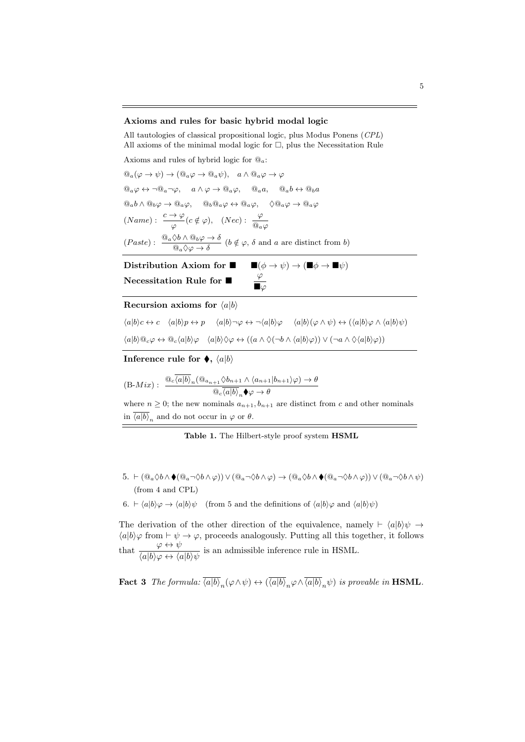#### Axioms and rules for basic hybrid modal logic

All tautologies of classical propositional logic, plus Modus Ponens (CPL) All axioms of the minimal modal logic for  $\Box$ , plus the Necessitation Rule

Axioms and rules of hybrid logic for  $@_a$ :  $@_{a}(\varphi \to \psi) \to (@_{a}\varphi \to @_{a}\psi), \quad a \wedge @_{a}\varphi \to \varphi$  $@_{a}\varphi \leftrightarrow \neg @_{a}\neg \varphi, \quad a\wedge \varphi \to @_{a}\varphi, \quad @_{a}a, \quad @_{a}b \leftrightarrow @_{b}a$  $@_{a}b\wedge @_{b}\varphi\rightarrow @_{a}\varphi, \quad @_{b}@_{a}\varphi \leftrightarrow @_{a}\varphi, \quad \Diamond @_{a}\varphi\rightarrow @_{a}\varphi$  $(Name): \frac{c \to \varphi}{\varphi}(c \notin \varphi), \quad (Nec): \frac{\varphi}{\mathbb{Q}_a \varphi}$  $(Paste): \frac{@_{a}\Diamond b \land @_{b}\varphi \to \delta}{@_{a}\Diamond \varphi \to \delta}$   $(b \notin \varphi, \delta \text{ and } a \text{ are distinct from } b)$ 

Distribution Axiom for  $\blacksquare$   $(\phi \to \psi) \to (\blacksquare \phi \to \blacksquare \psi)$ Necessitation Rule for  $\blacksquare$ 

## $\varphi$  $\overline{\blacksquare\varphi}$

#### Recursion axioms for  $\langle a|b \rangle$

 $\langle a|b\rangle c \leftrightarrow c \quad \langle a|b\rangle p \leftrightarrow p \quad \langle a|b\rangle \neg \varphi \leftrightarrow \neg \langle a|b\rangle \varphi \quad \langle a|b\rangle (\varphi \wedge \psi) \leftrightarrow (\langle a|b\rangle \varphi \wedge \langle a|b\rangle \psi)$  $\langle a|b\rangle \mathbb{Q}_c\varphi \leftrightarrow \mathbb{Q}_c\langle a|b\rangle\varphi \quad \langle a|b\rangle\Diamond\varphi \leftrightarrow ((a \wedge \Diamond(\neg b \wedge \langle a|b\rangle\varphi)) \vee (\neg a \wedge \Diamond \langle a|b\rangle\varphi))$ 

### Inference rule for  $\blacklozenge$ ,  $\langle a|b \rangle$

$$
(\mathbf{B}\text{-}Mix): \ \frac{\mathbb{Q}_c\overline{\langle a|b\rangle}_n(\mathbb{Q}_{a_{n+1}}\Diamond b_{n+1}\land\langle a_{n+1}|b_{n+1}\rangle\varphi)\to\theta}{\mathbb{Q}_c\overline{\langle a|b\rangle}_n\blacklozenge\varphi\to\theta}
$$

where  $n \geq 0$ ; the new nominals  $a_{n+1}, b_{n+1}$  are distinct from c and other nominals in  $\langle a|b\rangle_n$  and do not occur in  $\varphi$  or  $\theta$ .

## <span id="page-4-0"></span>Table 1. The Hilbert-style proof system HSML

- $5. \vdash (\mathbb{Q}_a \Diamond b \land \blacklozenge(\mathbb{Q}_a\neg \Diamond b \land \varphi)) \lor (\mathbb{Q}_a\neg \Diamond b \land \varphi) \rightarrow (\mathbb{Q}_a \Diamond b \land \blacklozenge(\mathbb{Q}_a\neg \Diamond b \land \varphi)) \lor (\mathbb{Q}_a\neg \Diamond b \land \psi)$ (from 4 and CPL)
- 6.  $\vdash \langle a|b \rangle \varphi \rightarrow \langle a|b \rangle \psi$  (from 5 and the definitions of  $\langle a|b \rangle \varphi$  and  $\langle a|b \rangle \psi$ )

The derivation of the other direction of the equivalence, namely  $\vdash \langle a|b \rangle \psi \rightarrow$  $\langle a|b\rangle\varphi$  from  $\vdash \psi \rightarrow \varphi$ , proceeds analogously. Putting all this together, it follows that  $\frac{\varphi \leftrightarrow \psi}{\langle a|b\rangle\varphi \leftrightarrow \langle a|b\rangle\psi}$  is an admissible inference rule in HSML.

**Fact 3** The formula:  $\langle a|b \rangle_n(\varphi \wedge \psi) \leftrightarrow (\langle a|b \rangle_n \varphi \wedge \langle a|b \rangle_n \psi)$  is provable in **HSML**.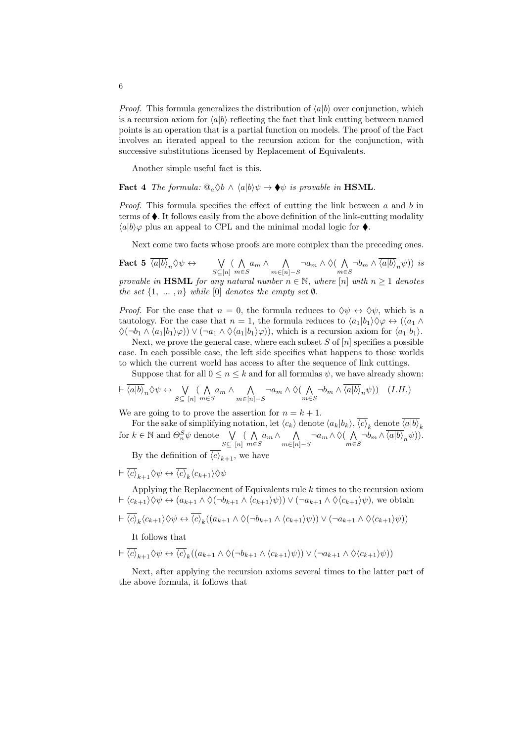*Proof.* This formula generalizes the distribution of  $\langle a|b \rangle$  over conjunction, which is a recursion axiom for  $\langle a|b \rangle$  reflecting the fact that link cutting between named points is an operation that is a partial function on models. The proof of the Fact involves an iterated appeal to the recursion axiom for the conjunction, with successive substitutions licensed by Replacement of Equivalents.

Another simple useful fact is this.

### **Fact 4** The formula:  $@_{a}\Diamond b \land \langle a|b\rangle \psi \rightarrow \blacklozenge \psi$  is provable in **HSML**.

*Proof.* This formula specifies the effect of cutting the link between  $a$  and  $b$  in terms of  $\blacklozenge$ . It follows easily from the above definition of the link-cutting modality  $\langle a|b\rangle\varphi$  plus an appeal to CPL and the minimal modal logic for  $\blacklozenge$ .

Next come two facts whose proofs are more complex than the preceding ones.

<span id="page-5-0"></span>Fact 5  $\overline{\langle a|b\rangle}_n \Diamond \psi \leftrightarrow \qquad \bigvee$  $S\subseteq[n]$  $($   $\wedge$  $\bigwedge_{m\in S} a_m \wedge \bigwedge_{m\in [n]}$  $\bigwedge_{m\in[n]-S} \neg a_m \wedge \Diamond(\bigwedge_{m\in\mathbb{R}}$  $\bigwedge_{m\in S} \neg b_m \wedge \langle a|b\rangle_n \psi$ ) is provable in HSML for any natural nunber  $n \in \mathbb{N}$ , where  $[n]$  with  $n \geq 1$  denotes the set  $\{1, \ldots, n\}$  while [0] denotes the empty set  $\emptyset$ .

*Proof.* For the case that  $n = 0$ , the formula reduces to  $\Diamond \psi \leftrightarrow \Diamond \psi$ , which is a tautology. For the case that  $n = 1$ , the formula reduces to  $\langle a_1|b_1\rangle \langle \varphi \leftrightarrow ((a_1 \wedge$  $\Diamond(\neg b_1 \land \langle a_1|b_1\rangle\varphi)) \lor (\neg a_1 \land \Diamond \langle a_1|b_1\rangle\varphi)),$  which is a recursion axiom for  $\langle a_1|b_1\rangle$ .

Next, we prove the general case, where each subset  $S$  of  $[n]$  specifies a possible case. In each possible case, the left side specifies what happens to those worlds to which the current world has access to after the sequence of link cuttings.

Suppose that for all  $0 \le n \le k$  and for all formulas  $\psi$ , we have already shown:

$$
\vdash \overline{\langle a|b \rangle}_n \Diamond \psi \leftrightarrow \bigvee_{S \subseteq [n]} (\bigwedge_{m \in S} a_m \land \bigwedge_{m \in [n] - S} \neg a_m \land \Diamond (\bigwedge_{m \in S} \neg b_m \land \overline{\langle a|b \rangle}_n \psi)) \quad (I.H.)
$$

We are going to to prove the assertion for  $n = k + 1$ .

For the sake of simplifying notation, let  $\langle c_k \rangle$  denote  $\langle a_k | b_k \rangle$ ,  $\langle c \rangle_k$  denote  $\langle a | b \rangle_k$ for  $k \in \mathbb{N}$  and  $\Theta_n^S \psi$  denote  $\bigvee_{S \subseteq [n]}$  $($   $\wedge$  $\bigwedge_{m\in S} a_m \wedge \bigwedge_{m\in [n]}$  $\bigwedge_{m\in[n]-S} \neg a_m \wedge \Diamond (\bigwedge_{m\in\mathbb{R}}$  $\bigwedge_{m\in S} \neg b_m \wedge \langle a|b\rangle_n \psi).$ By the definition of  $\langle c \rangle_{k+1}$ , we have

$$
\vdash \overline{\langle c \rangle}_{k+1} \Diamond \psi \leftrightarrow \overline{\langle c \rangle}_{k} \langle c_{k+1} \rangle \Diamond \psi
$$

Applying the Replacement of Equivalents rule k times to the recursion axiom  $h \vdash \langle c_{k+1} \rangle \Diamond \psi \leftrightarrow (a_{k+1} \land \Diamond(\neg b_{k+1} \land \langle c_{k+1} \rangle \psi)) \lor (\neg a_{k+1} \land \Diamond \langle c_{k+1} \rangle \psi)$ , we obtain

$$
\vdash \overline{\langle c \rangle}_k \langle c_{k+1} \rangle \Diamond \psi \leftrightarrow \overline{\langle c \rangle}_k ((a_{k+1} \land \Diamond(\neg b_{k+1} \land \langle c_{k+1} \rangle \psi)) \lor (\neg a_{k+1} \land \Diamond \langle c_{k+1} \rangle \psi))
$$

It follows that

$$
\vdash \overline{\langle c \rangle}_{k+1} \Diamond \psi \leftrightarrow \overline{\langle c \rangle}_{k} ((a_{k+1} \land \Diamond(\neg b_{k+1} \land \langle c_{k+1} \rangle \psi)) \lor (\neg a_{k+1} \land \Diamond \langle c_{k+1} \rangle \psi))
$$

Next, after applying the recursion axioms several times to the latter part of the above formula, it follows that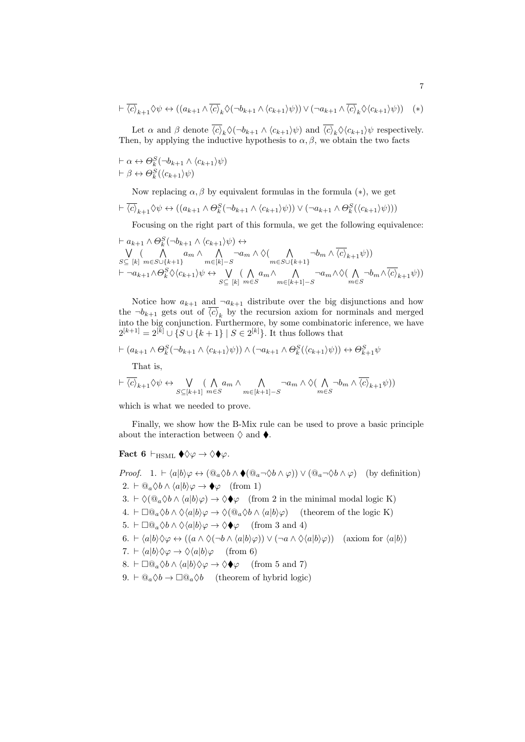$$
\vdash \overline{\langle c \rangle}_{k+1} \Diamond \psi \leftrightarrow ((a_{k+1} \land \overline{\langle c \rangle}_{k} \Diamond (\neg b_{k+1} \land \langle c_{k+1} \rangle \psi)) \lor (\neg a_{k+1} \land \overline{\langle c \rangle}_{k} \Diamond \langle c_{k+1} \rangle \psi)) \quad (*)
$$

Let  $\alpha$  and  $\beta$  denote  $\overline{\langle c \rangle}_k \Diamond (\neg b_{k+1} \land \langle c_{k+1} \rangle \psi)$  and  $\overline{\langle c \rangle}_k \Diamond \langle c_{k+1} \rangle \psi$  respectively. Then, by applying the inductive hypothesis to  $\alpha, \beta$ , we obtain the two facts

$$
\vdash \alpha \leftrightarrow \Theta_k^S(\neg b_{k+1} \land \langle c_{k+1} \rangle \psi)
$$
  
\n
$$
\vdash \beta \leftrightarrow \Theta_k^S(\langle c_{k+1} \rangle \psi)
$$

Now replacing  $\alpha, \beta$  by equivalent formulas in the formula (\*), we get

$$
\vdash \overline{\langle c \rangle}_{k+1} \Diamond \psi \leftrightarrow ((a_{k+1} \land \Theta_k^S(\neg b_{k+1} \land \langle c_{k+1} \rangle \psi)) \lor (\neg a_{k+1} \land \Theta_k^S(\langle c_{k+1} \rangle \psi)))
$$

Focusing on the right part of this formula, we get the following equivalence:

$$
\vdash a_{k+1} \land \Theta_k^S(\neg b_{k+1} \land \langle c_{k+1} \rangle \psi) \leftrightarrow \n\lor (\bigwedge_{S \subseteq [k]} m \in S \cup \{k+1\} \land \neg a_m \land \Diamond (\bigwedge_{m \in S \cup \{k+1\}} \neg b_m \land \overline{\langle c \rangle}_{k+1} \psi)) \n\vdash \neg a_{k+1} \land \Theta_k^S \Diamond \langle c_{k+1} \rangle \psi \leftrightarrow \bigvee_{S \subseteq [k]} (\bigwedge_{m \in S} a_m \land \bigwedge_{m \in [k+1]-S} \neg a_m \land \Diamond (\bigwedge_{m \in S} \neg b_m \land \overline{\langle c \rangle}_{k+1} \psi))
$$

Notice how  $a_{k+1}$  and  $\neg a_{k+1}$  distribute over the big disjunctions and how the  $\neg b_{k+1}$  gets out of  $\langle c \rangle_k$  by the recursion axiom for norminals and merged into the big conjunction. Furthermore, by some combinatoric inference, we have  $2^{[k+1]} = 2^{[k]} \cup \{ S \cup \{ k+1 \} \mid S \in 2^{[k]} \}.$  It thus follows that

$$
\vdash (a_{k+1} \land \Theta_k^S(\neg b_{k+1} \land \langle c_{k+1} \rangle \psi)) \land (\neg a_{k+1} \land \Theta_k^S(\langle c_{k+1} \rangle \psi)) \leftrightarrow \Theta_{k+1}^S \psi
$$

That is,

$$
\vdash \overline{\langle c \rangle}_{k+1} \Diamond \psi \leftrightarrow \bigvee_{S \subseteq [k+1]}(\bigwedge_{m \in S} a_m \land \bigwedge_{m \in [k+1]-S} \neg a_m \land \Diamond (\bigwedge_{m \in S} \neg b_m \land \overline{\langle c \rangle}_{k+1} \psi))
$$

which is what we needed to prove.

Finally, we show how the B-Mix rule can be used to prove a basic principle about the interaction between  $\Diamond$  and  $\blacklozenge$ .

## Fact 6  $\vdash_{\text{HSML}} \blacklozenge \Diamond \varphi \rightarrow \Diamond \blacklozenge \varphi$ .

*Proof.* 1.  $\vdash \langle a|b\rangle\varphi \leftrightarrow (\mathbb{Q}_a \Diamond b \land \blacklozenge(\mathbb{Q}_a \neg \Diamond b \land \varphi)) \lor (\mathbb{Q}_a \neg \Diamond b \land \varphi)$  (by definition) 2.  $\vdash @a \Diamond b \land \langle a|b \rangle \varphi \rightarrow \blacklozenge \varphi \quad \text{(from 1)}$ 3.  $\vdash \Diamond (\mathbb{Q}_a \Diamond b \land \langle a|b \rangle \varphi) \rightarrow \Diamond \blacklozenge \varphi$  (from 2 in the minimal modal logic K) 4.  $\vdash \Box @_{a} \Diamond b \land \Diamond \langle a|b \rangle \varphi \rightarrow \Diamond ( @_{a} \Diamond b \land \langle a|b \rangle \varphi)$  (theorem of the logic K) 5.  $\vdash \Box @_{a} \Diamond b \land \Diamond \langle a|b \rangle \varphi \rightarrow \Diamond \blacklozenge \varphi$  (from 3 and 4) 6.  $\vdash \langle a|b\rangle\Diamond\varphi \leftrightarrow ((a \land \Diamond(\neg b \land \langle a|b\rangle\varphi)) \lor (\neg a \land \Diamond \langle a|b\rangle\varphi))$  (axiom for  $\langle a|b\rangle$ ) 7.  $\vdash \langle a|b\rangle \Diamond \varphi \rightarrow \Diamond \langle a|b\rangle \varphi$  (from 6)

- 8.  $\vdash \Box @_{a} \Diamond b \land \langle a|b \rangle \Diamond \varphi \rightarrow \Diamond \blacklozenge \varphi$  (from 5 and 7)
- $9. \vdash \mathbb{Q}_a \Diamond b \rightarrow \Box \mathbb{Q}_a \Diamond b$  (theorem of hybrid logic)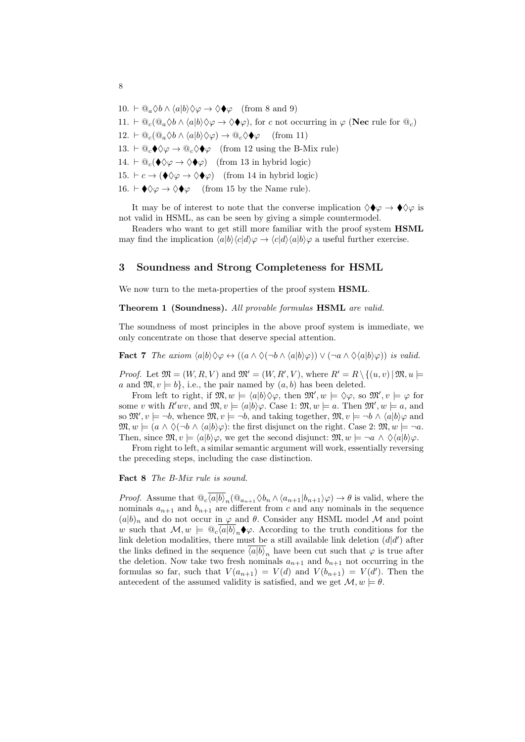10.  $\vdash \mathbb{Q}_a \Diamond b \land \langle a|b \rangle \Diamond \varphi \rightarrow \Diamond \blacklozenge \varphi \quad \text{(from 8 and 9)}$ 11.  $\vdash \mathbb{Q}_c(\mathbb{Q}_a \Diamond b \land \langle a|b \rangle \Diamond \varphi \rightarrow \Diamond \blacklozenge \varphi)$ , for c not occurring in  $\varphi$  (Nec rule for  $\mathbb{Q}_c$ ) 12.  $\vdash \mathbb{Q}_c(\mathbb{Q}_a \Diamond b \land \langle a|b \rangle \Diamond \varphi) \rightarrow \mathbb{Q}_c \Diamond \blacklozenge \varphi \quad \text{(from 11)}$ 13.  $\vdash \mathbb{Q}_c \blacklozenge \Diamond \varphi \rightarrow \mathbb{Q}_c \Diamond \blacklozenge \varphi$  (from 12 using the B-Mix rule) 14.  $\vdash \mathbb{Q}_c(\blacklozenge \lozenge \varphi \rightarrow \lozenge \blacklozenge \varphi)$  (from 13 in hybrid logic) 15.  $\vdash c \rightarrow (\blacklozenge \Diamond \varphi \rightarrow \Diamond \blacklozenge \varphi)$  (from 14 in hybrid logic) 16.  $\vdash \blacklozenge \Diamond \varphi \rightarrow \Diamond \blacklozenge \varphi$  (from 15 by the Name rule).

It may be of interest to note that the converse implication  $\Diamond \blacklozenge \Diamond \varphi \rightarrow \blacklozenge \Diamond \varphi$  is not valid in HSML, as can be seen by giving a simple countermodel.

Readers who want to get still more familiar with the proof system HSML may find the implication  $\langle a|b\rangle\langle c|d\rangle\varphi \rightarrow \langle c|d\rangle\langle a|b\rangle\varphi$  a useful further exercise.

### 3 Soundness and Strong Completeness for HSML

We now turn to the meta-properties of the proof system  $\text{HSML}$ .

Theorem 1 (Soundness). All provable formulas HSML are valid.

The soundness of most principles in the above proof system is immediate, we only concentrate on those that deserve special attention.

**Fact 7** The axiom  $\langle a|b\rangle\Diamond\varphi \leftrightarrow ((a \land \Diamond(\neg b \land \langle a|b\rangle\varphi)) \lor (\neg a \land \Diamond\langle a|b\rangle\varphi))$  is valid.

*Proof.* Let  $\mathfrak{M} = (W, R, V)$  and  $\mathfrak{M}' = (W, R', V)$ , where  $R' = R \setminus \{(u, v) | \mathfrak{M}, u \models$ a and  $\mathfrak{M}, v \models b$ , i.e., the pair named by  $(a, b)$  has been deleted.

From left to right, if  $\mathfrak{M}, w \models \langle a|b\rangle \Diamond \varphi$ , then  $\mathfrak{M}', w \models \Diamond \varphi$ , so  $\mathfrak{M}', v \models \varphi$  for some v with  $R'wv$ , and  $\mathfrak{M}, v \models \langle a|b\rangle\varphi$ . Case 1:  $\mathfrak{M}, w \models a$ . Then  $\mathfrak{M}', w \models a$ , and so  $\mathfrak{M}, v \models \neg b$ , whence  $\mathfrak{M}, v \models \neg b$ , and taking together,  $\mathfrak{M}, v \models \neg b \land \langle a|b \rangle \varphi$  and  $\mathfrak{M}, w \models (a \land \Diamond(\neg b \land \langle a|b \rangle \varphi))$ : the first disjunct on the right. Case 2:  $\mathfrak{M}, w \models \neg a$ . Then, since  $\mathfrak{M}, v \models \langle a|b\rangle\varphi$ , we get the second disjunct:  $\mathfrak{M}, w \models \neg a \land \Diamond \langle a|b\rangle\varphi$ .

From right to left, a similar semantic argument will work, essentially reversing the preceding steps, including the case distinction.

Fact 8 The B-Mix rule is sound.

*Proof.* Assume that  $\mathbb{Q}_c \overline{\langle a | b \rangle}_n (\mathbb{Q}_{a_{n+1}} \langle b_n \wedge \langle a_{n+1} | b_{n+1} \rangle \varphi) \to \theta$  is valid, where the nominals  $a_{n+1}$  and  $b_{n+1}$  are different from c and any nominals in the sequence  $(a|b)_n$  and do not occur in  $\varphi$  and  $\theta$ . Consider any HSML model M and point w such that  $\mathcal{M}, w \models \mathbb{Q}_c \overline{\langle a|b \rangle}_n \blacklozenge \varphi$ . According to the truth conditions for the link deletion modalities, there must be a still available link deletion  $(d|d')$  after the links defined in the sequence  $\langle a|b\rangle_n$  have been cut such that  $\varphi$  is true after the deletion. Now take two fresh nominals  $a_{n+1}$  and  $b_{n+1}$  not occurring in the formulas so far, such that  $V(a_{n+1}) = V(d)$  and  $V(b_{n+1}) = V(d')$ . Then the antecedent of the assumed validity is satisfied, and we get  $\mathcal{M}, w \models \theta$ .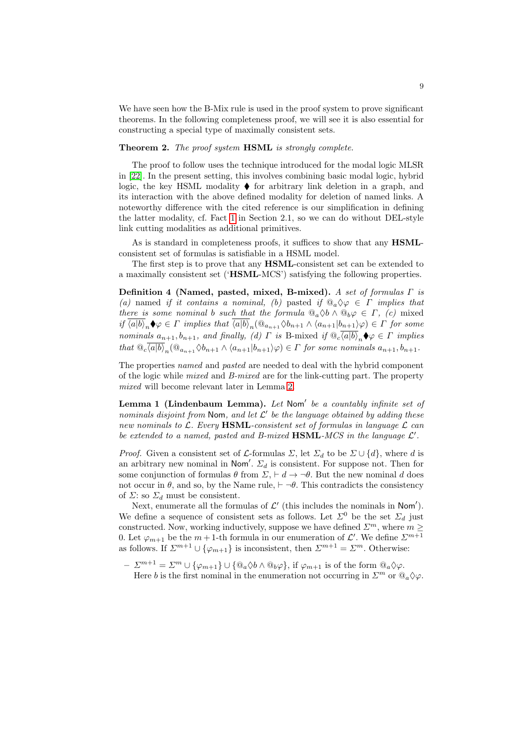We have seen how the B-Mix rule is used in the proof system to prove significant theorems. In the following completeness proof, we will see it is also essential for constructing a special type of maximally consistent sets.

#### Theorem 2. The proof system HSML is strongly complete.

The proof to follow uses the technique introduced for the modal logic MLSR in [\[22\]](#page-24-8). In the present setting, this involves combining basic modal logic, hybrid logic, the key HSML modality  $\blacklozenge$  for arbitrary link deletion in a graph, and its interaction with the above defined modality for deletion of named links. A noteworthy difference with the cited reference is our simplification in defining the latter modality, cf. Fact [1](#page-3-2) in Section 2.1, so we can do without DEL-style link cutting modalities as additional primitives.

As is standard in completeness proofs, it suffices to show that any HSMLconsistent set of formulas is satisfiable in a HSML model.

The first step is to prove that any HSML-consistent set can be extended to a maximally consistent set ('HSML-MCS') satisfying the following properties.

Definition 4 (Named, pasted, mixed, B-mixed). A set of formulas  $\Gamma$  is (a) named if it contains a nominal, (b) pasted if  $@a\Diamond\varphi \in \Gamma$  implies that there is some nominal b such that the formula  $@a \lozenge b \wedge @b \varphi \in \Gamma$ , (c) mixed  $if \langle \overline{a|b} \rangle_n \blacklozenge \varphi \in \Gamma$  implies that  $\langle \overline{a|b} \rangle_n(\mathbb{Q}_{a_{n+1}} \lozenge b_{n+1} \wedge \langle a_{n+1}|b_{n+1} \rangle \varphi) \in \Gamma$  for some nominals  $a_{n+1}, b_{n+1}$ , and finally, (d)  $\Gamma$  is B-mixed if  $\mathbb{Q}_c\overline{\langle a|b \rangle}_n\blacklozenge \varphi \in \Gamma$  implies that  $\mathbb{Q}_c \overline{\langle a|b \rangle}_n (\mathbb{Q}_{a_{n+1}} \langle b_{n+1} \wedge \langle a_{n+1}|b_{n+1} \rangle \varphi) \in \Gamma$  for some nominals  $a_{n+1}, b_{n+1}$ .

The properties named and pasted are needed to deal with the hybrid component of the logic while mixed and B-mixed are for the link-cutting part. The property mixed will become relevant later in Lemma [2.](#page-9-0)

Lemma 1 (Lindenbaum Lemma). Let Nom' be a countably infinite set of nominals disjoint from Nom, and let  $\mathcal{L}'$  be the language obtained by adding these new nominals to  $\mathcal{L}$ . Every HSML-consistent set of formulas in language  $\mathcal{L}$  can be extended to a named, pasted and B-mixed  $\text{HSML-MCS}$  in the language  $\mathcal{L}'$ .

*Proof.* Given a consistent set of  $\mathcal{L}$ -formulas  $\Sigma$ , let  $\Sigma_d$  to be  $\Sigma \cup \{d\}$ , where d is an arbitrary new nominal in Nom'.  $\Sigma_d$  is consistent. For suppose not. Then for some conjunction of formulas  $\theta$  from  $\Sigma$ ,  $\vdash d \rightarrow \neg \theta$ . But the new nominal d does not occur in  $\theta$ , and so, by the Name rule,  $\vdash \neg \theta$ . This contradicts the consistency of  $\Sigma$ : so  $\Sigma_d$  must be consistent.

Next, enumerate all the formulas of  $\mathcal{L}'$  (this includes the nominals in Nom'). We define a sequence of consistent sets as follows. Let  $\Sigma^0$  be the set  $\Sigma_d$  just constructed. Now, working inductively, suppose we have defined  $\Sigma^m$ , where  $m \geq$ 0. Let  $\varphi_{m+1}$  be the  $m+1$ -th formula in our enumeration of  $\mathcal{L}'$ . We define  $\mathcal{L}^{m+1}$ as follows. If  $\Sigma^{m+1} \cup {\varphi_{m+1}}$  is inconsistent, then  $\Sigma^{m+1} = \Sigma^m$ . Otherwise:

 $-\Sigma^{m+1} = \Sigma^m \cup {\varphi_{m+1}} \cup {\varphi_a \Diamond b \land \varphi_b, \text{ if } \varphi_{m+1} \text{ is of the form } \varphi_a \Diamond \varphi.$ Here b is the first nominal in the enumeration not occurring in  $\Sigma^m$  or  $\mathbb{Q}_a \Diamond \varphi$ .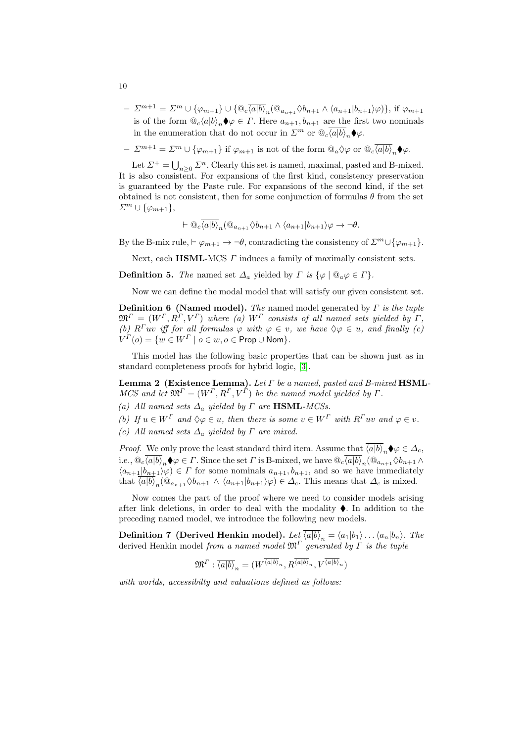- $-\sum_{m+1} \sum_{m} \cup \{ \varphi_{m+1} \} \cup \{ \mathbb{Q}_c \overline{\langle a | b \rangle}_n (\mathbb{Q}_{a_{n+1}} \Diamond b_{n+1} \land \langle a_{n+1} | b_{n+1} \rangle \varphi) \},$  if  $\varphi_{m+1}$ is of the form  $\mathbb{Q}_c\overline{\langle a|b\rangle}_n\blacklozenge\varphi\in\Gamma$ . Here  $a_{n+1},b_{n+1}$  are the first two nominals in the enumeration that do not occur in  $\Sigma^m$  or  $\mathbb{Q}_c \overline{\langle a|b \rangle}$ .  $\blacklozenge \varphi$ .
- $-\Sigma^{m+1} = \Sigma^m \cup {\varphi_{m+1}}$  if  $\varphi_{m+1}$  is not of the form  $\mathbb{Q}_a \Diamond \varphi$  or  $\mathbb{Q}_c \overline{\langle a|b \rangle}_n \blacklozenge \varphi$ .

Let  $\Sigma^+ = \bigcup_{n \geq 0} \Sigma^n$ . Clearly this set is named, maximal, pasted and B-mixed. It is also consistent. For expansions of the first kind, consistency preservation is guaranteed by the Paste rule. For expansions of the second kind, if the set obtained is not consistent, then for some conjunction of formulas  $\theta$  from the set  $\Sigma^m \cup {\varphi_{m+1}},$ 

$$
\vdash \mathbf{Q}_{c}\overline{\langle a|b\rangle}_{n}(\mathbf{Q}_{a_{n+1}}\Diamond b_{n+1}\land\langle a_{n+1}|b_{n+1}\rangle\varphi\rightarrow\neg\theta.
$$

By the B-mix rule,  $\vdash \varphi_{m+1} \to \neg \theta$ , contradicting the consistency of  $\varSigma^m \cup {\varphi_{m+1}}$ .

Next, each  $\textbf{HSML-MCS}\, \Gamma$  induces a family of maximally consistent sets.

**Definition 5.** The named set  $\Delta_a$  yielded by  $\Gamma$  is  $\{\varphi \mid \mathbb{Q}_a\varphi \in \Gamma\}.$ 

Now we can define the modal model that will satisfy our given consistent set.

<span id="page-9-2"></span>**Definition 6 (Named model).** The named model generated by  $\Gamma$  is the tuple  $\mathfrak{M}^{\Gamma} = (W^{\Gamma}, R^{\Gamma}, V^{\Gamma})$  where (a)  $W^{\Gamma}$  consists of all named sets yielded by  $\Gamma$ , (b)  $R^T u v$  iff for all formulas  $\varphi$  with  $\varphi \in v$ , we have  $\Diamond \varphi \in u$ , and finally (c)  $V^{\Gamma}(o) = \{w \in W^{\Gamma} \mid o \in w, o \in \mathsf{Prop} \cup \mathsf{Nom}\}.$ 

This model has the following basic properties that can be shown just as in standard completeness proofs for hybrid logic, [\[3\]](#page-23-3).

<span id="page-9-0"></span>**Lemma 2 (Existence Lemma).** Let  $\Gamma$  be a named, pasted and B-mixed HSML-MCS and let  $\mathfrak{M}^{\Gamma} = (W^{\Gamma}, R^{\Gamma}, V^{\Gamma})$  be the named model yielded by  $\Gamma$ .

(a) All named sets  $\Delta_a$  yielded by  $\Gamma$  are HSML-MCSs.

(b) If  $u \in W^{\Gamma}$  and  $\Diamond \varphi \in u$ , then there is some  $v \in W^{\Gamma}$  with  $R^{\Gamma}uv$  and  $\varphi \in v$ . (c) All named sets  $\Delta_a$  yielded by  $\Gamma$  are mixed.

*Proof.* We only prove the least standard third item. Assume that  $\overline{\langle a|b\rangle}_n \blacklozenge \varphi \in \Delta_c$ , i.e.,  $@_{c}\overline{\langle a|b\rangle}_{n}\blacklozenge\varphi\in\varGamma.$  Since the set  $\varGamma$  is B-mixed, we have  $@_{c}\overline{\langle a|b\rangle}_{n}(\mathbb{Q}_{a_{n+1}}\lozenge b_{n+1}\wedge\varphi)$  $\langle a_{n+1}|b_{n+1}\rangle\varphi\rangle \in \Gamma$  for some nominals  $a_{n+1}, b_{n+1}$ , and so we have immediately that  $\langle a|b\rangle_n(\mathbb{Q}_{a_{n+1}}\Diamond b_{n+1}\land \langle a_{n+1}|b_{n+1}\rangle\varphi)\in \Delta_c$ . This means that  $\Delta_c$  is mixed.

Now comes the part of the proof where we need to consider models arising after link deletions, in order to deal with the modality  $\blacklozenge$ . In addition to the preceding named model, we introduce the following new models.

<span id="page-9-1"></span>**Definition 7 (Derived Henkin model).** Let  $\overline{\langle a|b \rangle}_n = \langle a_1|b_1 \rangle \dots \langle a_n|b_n \rangle$ . The derived Henkin model from a named model  $\mathfrak{M}^{\Gamma}$  generated by  $\Gamma$  is the tuple

$$
\mathfrak{M}^{\varGamma}:\overline{\langle a|b\rangle}_n=(W^{\overline{\langle a|b\rangle}_n},R^{\overline{\langle a|b\rangle}_n},V^{\overline{\langle a|b\rangle}_n})
$$

with worlds, accessibilty and valuations defined as follows:

10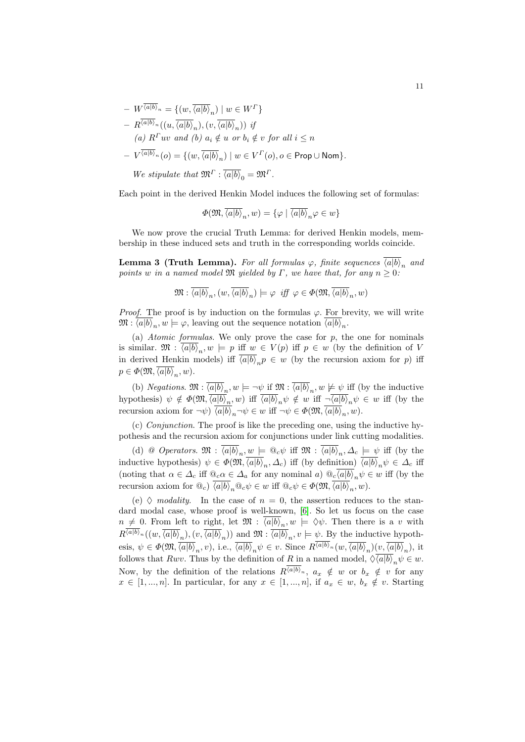$$
- W^{\langle a|b\rangle_n} = \{ (w, \overline{\langle a|b\rangle}_n) \mid w \in W^{\Gamma} \}
$$
  
\n
$$
- R^{\overline{\langle a|b\rangle}_n}((u, \overline{\langle a|b\rangle}_n), (v, \overline{\langle a|b\rangle}_n)) \text{ if}
$$
  
\n(a)  $R^{\Gamma}uv$  and (b)  $a_i \notin u$  or  $b_i \notin v$  for all  $i \leq n$   
\n
$$
- V^{\overline{\langle a|b\rangle}_n}(o) = \{ (w, \overline{\langle a|b\rangle}_n) \mid w \in V^{\Gamma}(o), o \in \text{Prop} \cup \text{Nom} \}.
$$
  
\nWe stipulate that  $\mathfrak{M}^{\Gamma} : \overline{\langle a|b\rangle}_0 = \mathfrak{M}^{\Gamma}.$ 

Each point in the derived Henkin Model induces the following set of formulas:

$$
\Phi(\mathfrak{M}, \overline{\langle a|b \rangle}_n, w) = \{ \varphi \mid \overline{\langle a|b \rangle}_n \varphi \in w \}
$$

We now prove the crucial Truth Lemma: for derived Henkin models, membership in these induced sets and truth in the corresponding worlds coincide.

**Lemma 3 (Truth Lemma).** For all formulas  $\varphi$ , finite sequences  $\langle a|b\rangle_n$  and points w in a named model  $\mathfrak{M}$  yielded by  $\Gamma$ , we have that, for any  $n \geq 0$ :

$$
\mathfrak{M}: \overline{\langle a|b\rangle}_n, (w, \overline{\langle a|b\rangle}_n) \models \varphi \text{ iff } \varphi \in \Phi(\mathfrak{M}, \overline{\langle a|b\rangle}_n, w)
$$

*Proof.* The proof is by induction on the formulas  $\varphi$ . For brevity, we will write  $\mathfrak{M}: \langle a|b \rangle_n, w \models \varphi$ , leaving out the sequence notation  $\langle a|b \rangle_n$ .

(a) Atomic formulas. We only prove the case for  $p$ , the one for nominals is similar.  $\mathfrak{M}$  :  $\langle a|b\rangle_n, w \models p$  iff  $w \in V(p)$  iff  $p \in w$  (by the definition of V in derived Henkin models) if  $\langle a|b\rangle_n p \in w$  (by the recursion axiom for p) iff  $p \in \Phi(\mathfrak{M}, \langle a|b \rangle_n, w).$ 

(b) Negations.  $\mathfrak{M}$  :  $\langle a|b\rangle_n, w \models \neg \psi$  if  $\mathfrak{M}$  :  $\langle a|b\rangle_n, w \not\models \psi$  iff (by the inductive hypothesis)  $\psi \notin \Phi(\mathfrak{M},\langle a|b\rangle_n,w)$  iff  $\langle a|b\rangle_n\psi \notin w$  iff  $\neg \langle a|b\rangle_n\psi \in w$  iff (by the recursion axiom for  $\neg\psi$ )  $\langle a|b\rangle_n \neg \psi \in w$  iff  $\neg\psi \in \Phi(\mathfrak{M},\langle a|b\rangle_n,w)$ .

(c) Conjunction. The proof is like the preceding one, using the inductive hypothesis and the recursion axiom for conjunctions under link cutting modalities.

(d) @ Operators.  $\mathfrak{M}$  :  $\langle a|b\rangle_n, w \models \mathbb{Q}_c \psi$  iff  $\mathfrak{M}$  :  $\langle a|b\rangle_n, \Delta_c \models \psi$  iff (by the inductive hypothesis)  $\psi \in \Phi(\mathfrak{M}, \langle a|b \rangle_n, \Delta_c)$  iff (by definition)  $\langle a|b \rangle_n \psi \in \Delta_c$  iff (noting that  $\alpha \in \Delta_c$  iff  $\mathbb{Q}_c \alpha \in \Delta_a$  for any nominal  $a) \mathbb{Q}_c \overline{\langle a|b \rangle}_n \psi \in w$  iff (by the recursion axiom for  $\mathbb{Q}_c$ )  $\langle a|b\rangle_n \mathbb{Q}_c \psi \in w$  iff  $\mathbb{Q}_c \psi \in \Phi(\mathfrak{M}, \langle a|b\rangle_n, w)$ .

(e)  $\Diamond$  modality. In the case of  $n = 0$ , the assertion reduces to the standard modal case, whose proof is well-known, [\[6\]](#page-23-4). So let us focus on the case  $n \neq 0$ . From left to right, let  $\mathfrak{M}$  :  $\overline{\langle a|b \rangle}_n$ ,  $w \models \Diamond \psi$ . Then there is a v with  $R^{\langle a|b\rangle_n}((w,\overline{\langle a|b\rangle}_n),(v,\overline{\langle a|b\rangle}_n))$  and  $\mathfrak{M}:\overline{\langle a|b\rangle}_n,v \models \psi.$  By the inductive hypothesis,  $\psi \in \Phi(\mathfrak{M}, \overline{\langle a|b \rangle}_n, v)$ , i.e.,  $\overline{\langle a|b \rangle}_n \psi \in v$ . Since  $R^{\langle a|b \rangle_n}(w, \overline{\langle a|b \rangle}_n)(v, \overline{\langle a|b \rangle}_n)$ , it follows that  $Rwv$ . Thus by the definition of R in a named model,  $\sqrt{\langle a|b \rangle}_n \psi \in w$ . Now, by the definition of the relations  $R^{\langle a|b\rangle_n}$ ,  $a_x \notin w$  or  $b_x \notin v$  for any  $x \in [1, ..., n]$ . In particular, for any  $x \in [1, ..., n]$ , if  $a_x \in w$ ,  $b_x \notin v$ . Starting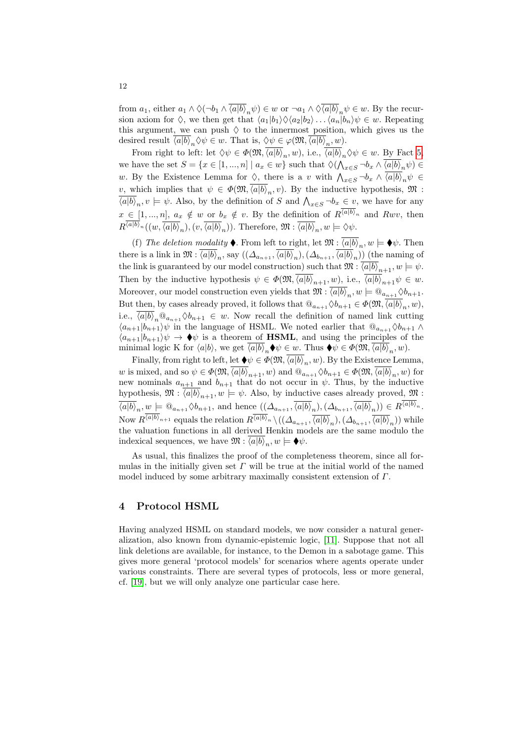from  $a_1$ , either  $a_1 \wedge \Diamond(\neg b_1 \wedge \overline{\langle a|b \rangle}_n\psi) \in w$  or  $\neg a_1 \wedge \Diamond \overline{\langle a|b \rangle}_n\psi \in w$ . By the recursion axiom for  $\Diamond$ , we then get that  $\langle a_1|b_1\rangle \Diamond \langle a_2|b_2\rangle \dots \langle a_n|b_n\rangle \psi \in w$ . Repeating this argument, we can push  $\diamondsuit$  to the innermost position, which gives us the desired result  $\overline{\langle a|b\rangle}_n \Diamond \psi \in w$ . That is,  $\Diamond \psi \in \varphi(\mathfrak{M}, \overline{\langle a|b\rangle}_n, w)$ .

From right to left: let  $\Diamond \psi \in \Phi(\mathfrak{M}, \overline{\langle a|b \rangle}_n, w)$ , i.e.,  $\overline{\langle a|b \rangle}_n \Diamond \psi \in w$ . By Fact [5,](#page-5-0) we have the set  $S = \{x \in [1, ..., n] \mid a_x \in w\}$  such that  $\Diamond(\bigwedge_{x \in S} \neg b_x \land \overline{\langle a | b \rangle}_n \psi) \in$ w. By the Existence Lemma for  $\Diamond$ , there is a v with  $\bigwedge_{x\in S}\neg b_x \land \overline{\langle a|b \rangle}_n\psi \in$ v, which implies that  $\psi \in \Phi(\mathfrak{M}, \langle a|b \rangle_n, v)$ . By the inductive hypothesis,  $\mathfrak{M}$ :  $\langle a|b\rangle_n, v \models \psi$ . Also, by the definition of S and  $\bigwedge_{x \in S} \neg b_x \in v$ , we have for any  $x \in [1, ..., n], a_x \notin w$  or  $b_x \notin v$ . By the definition of  $R^{\overline{(a|b)}_n}$  and Rwv, then  $R^{\overline{\langle a|b\rangle}_n}((w,\overline{\langle a|b\rangle}_n),(v,\overline{\langle a|b\rangle}_n))$ . Therefore,  $\mathfrak{M}:\overline{\langle a|b\rangle}_n, w \models \Diamond\psi$ .

(f) The deletion modality  $\blacklozenge$ . From left to right, let  $\mathfrak{M} : \overline{\langle a|b \rangle}_n, w \models \blacklozenge \psi$ . Then there is a link in  $\mathfrak{M}$  :  $\langle a|b\rangle_n$ , say  $((\Delta_{a_{n+1}}, \langle a|b\rangle_n), (\Delta_{b_{n+1}}, \langle a|b\rangle_n))$  (the naming of the link is guaranteed by our model construction) such that  $\mathfrak{M} : \overline{\langle a|b \rangle}_{n+1}, w \models \psi$ . Then by the inductive hypothesis  $\psi \in \Phi(\mathfrak{M},\overline{\langle a|b \rangle}_{n+1}, w)$ , i.e.,  $\overline{\langle a|b \rangle}_{n+1}\psi \in w$ . Moreover, our model construction even yields that  $\mathfrak{M} : \overline{\langle a | b \rangle}_n, w \models \mathbb{Q}_{a_{n+1}} \Diamond b_{n+1}.$ But then, by cases already proved, it follows that  $\mathbb{Q}_{a_{n+1}} \Diamond b_{n+1} \in \Phi(\mathfrak{M},\overline{\langle a|b \rangle}_n,w)$ , i.e.,  $\overline{\langle a|b\rangle}_n \mathbb{Q}_{a_{n+1}} \Diamond b_{n+1} \in w$ . Now recall the definition of named link cutting  $\langle a_{n+1}|b_{n+1}\rangle\psi$  in the language of HSML. We noted earlier that  $@_{a_{n+1}}\Diamond b_{n+1} \wedge$  $\langle a_{n+1}|b_{n+1}\rangle \psi \to \bullet \psi$  is a theorem of HSML, and using the principles of the minimal logic K for  $\langle a|b\rangle$ , we get  $\overline{\langle a|b\rangle}_n \blacklozenge \psi \in w$ . Thus  $\blacklozenge \psi \in \Phi(\mathfrak{M},\overline{\langle a|b\rangle}_n,w)$ .

Finally, from right to left, let  $\blacklozenge \psi \in \Phi(\mathfrak{M}, \overline{\langle a|b \rangle}_n, w)$ . By the Existence Lemma, w is mixed, and so  $\psi \in \Phi(\mathfrak{M}, \overline{\langle a|b \rangle}_{n+1}, w)$  and  $\mathbb{Q}_{a_{n+1}} \Diamond b_{n+1} \in \Phi(\mathfrak{M}, \overline{\langle a|b \rangle}_{n}, w)$  for new nominals  $a_{n+1}$  and  $b_{n+1}$  that do not occur in  $\psi$ . Thus, by the inductive hypothesis,  $\mathfrak{M} : \overline{\langle a|b \rangle}_{n+1}, w \models \psi$ . Also, by inductive cases already proved,  $\mathfrak{M}$ :  $\overline{\langle a|b\rangle}_n, w \models \mathbb{Q}_{a_{n+1}} \Diamond b_{n+1}, \text{ and hence } ((\Delta_{a_{n+1}}, \overline{\langle a|b\rangle}_n), (\Delta_{b_{n+1}}, \overline{\langle a|b\rangle}_n)) \in R^{\overline{\langle a|b\rangle}_n}.$ Now  $R^{\langle a|b\rangle_{n+1}}$  equals the relation  $R^{\langle a|b\rangle_n}\setminus((\Delta_{a_{n+1}},\overline{\langle a|b\rangle}_n),(\Delta_{b_{n+1}},\overline{\langle a|b\rangle}_n))$  while the valuation functions in all derived Henkin models are the same modulo the indexical sequences, we have  $\mathfrak{M}$  :  $\overline{\langle a|b \rangle}_n, w \models \blacklozenge \psi$ .

As usual, this finalizes the proof of the completeness theorem, since all formulas in the initially given set  $\Gamma$  will be true at the initial world of the named model induced by some arbitrary maximally consistent extension of Γ.

#### 4 Protocol HSML

Having analyzed HSML on standard models, we now consider a natural generalization, also known from dynamic-epistemic logic, [\[11\]](#page-24-9). Suppose that not all link deletions are available, for instance, to the Demon in a sabotage game. This gives more general 'protocol models' for scenarios where agents operate under various constraints. There are several types of protocols, less or more general, cf. [\[19\]](#page-24-13), but we will only analyze one particular case here.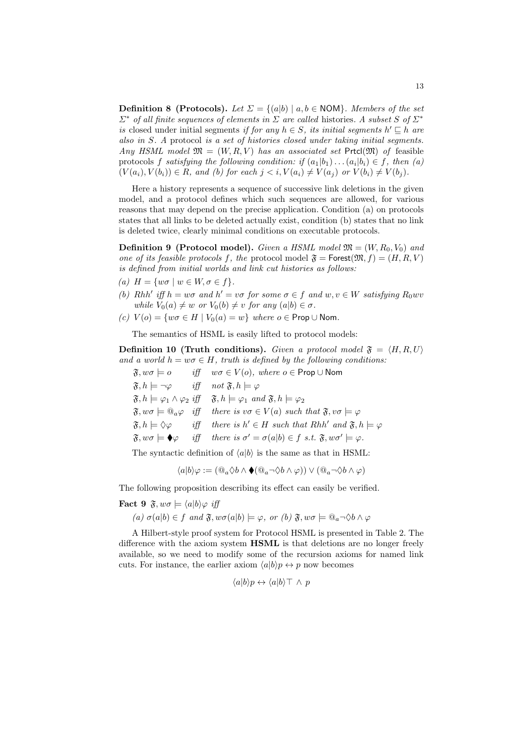**Definition 8 (Protocols).** Let  $\Sigma = \{(a|b) | a, b \in \text{NOM}\}\)$ . Members of the set  $\Sigma^*$  of all finite sequences of elements in  $\Sigma$  are called histories. A subset S of  $\Sigma^*$ is closed under initial segments if for any  $h \in S$ , its initial segments  $h' \sqsubseteq h$  are also in S. A protocol is a set of histories closed under taking initial segments. Any HSML model  $\mathfrak{M} = (W, R, V)$  has an associated set Prtcl(M) of feasible protocols f satisfying the following condition: if  $(a_1|b_1)\dots(a_i|b_i) \in f$ , then  $(a)$  $(V(a_i), V(b_i)) \in R$ , and (b) for each  $j < i, V(a_i) \neq V(a_j)$  or  $V(b_i) \neq V(b_j)$ .

Here a history represents a sequence of successive link deletions in the given model, and a protocol defines which such sequences are allowed, for various reasons that may depend on the precise application. Condition (a) on protocols states that all links to be deleted actually exist, condition (b) states that no link is deleted twice, clearly minimal conditions on executable protocols.

**Definition 9 (Protocol model).** Given a HSML model  $\mathfrak{M} = (W, R_0, V_0)$  and one of its feasible protocols f, the protocol model  $\mathfrak{F} =$  Forest $(\mathfrak{M}, f) = (H, R, V)$ is defined from initial worlds and link cut histories as follows:

- (a)  $H = \{w\sigma \mid w \in W, \sigma \in f\}.$
- (b) Rhh' iff  $h = w\sigma$  and  $h' = v\sigma$  for some  $\sigma \in f$  and  $w, v \in W$  satisfying  $R_0wv$ while  $V_0(a) \neq w$  or  $V_0(b) \neq v$  for any  $(a|b) \in \sigma$ .
- (c)  $V(o) = \{w \sigma \in H \mid V_0(a) = w\}$  where  $o \in \text{Prop} \cup \text{Nom}$ .

The semantics of HSML is easily lifted to protocol models:

**Definition 10 (Truth conditions).** Given a protocol model  $\mathfrak{F} = \langle H, R, U \rangle$ and a world  $h = w\sigma \in H$ , truth is defined by the following conditions:

 $\mathfrak{F}, w\sigma \models o$  iff  $w\sigma \in V(o)$ , where  $o \in \mathsf{Prop} \cup \mathsf{Nom}$  $\mathfrak{F}, h \models \neg \varphi$  iff not  $\mathfrak{F}, h \models \varphi$  $\mathfrak{F}, h \models \varphi_1 \land \varphi_2 \text{ iff } \mathfrak{F}, h \models \varphi_1 \text{ and } \mathfrak{F}, h \models \varphi_2$  $\mathfrak{F}, w\sigma \models \mathbb{Q}_a\varphi$  iff there is  $v\sigma \in V(a)$  such that  $\mathfrak{F}, v\sigma \models \varphi$  $\mathfrak{F}, h \models \Diamond \varphi$  iff there is  $h' \in H$  such that Rhh' and  $\mathfrak{F}, h \models \varphi$  $\mathfrak{F}, w\sigma \models \blacklozenge \varphi \quad \text{iff} \quad \text{there is } \sigma' = \sigma(a|b) \in f \text{ s.t. } \mathfrak{F}, w\sigma' \models \varphi.$ 

The syntactic definition of  $\langle a|b \rangle$  is the same as that in HSML:

$$
\langle a|b\rangle\varphi:=\left(\textcircled{a}_a\Diamond b\land\blacklozenge(\textcircled{a}_a\neg\Diamond b\land\varphi)\right)\vee\left(\textcircled{a}_a\neg\Diamond b\land\varphi\right)
$$

The following proposition describing its effect can easily be verified.

**Fact 9**  $\mathfrak{F}, w\sigma \models \langle a|b \rangle \varphi$  iff

(a)  $\sigma(a|b) \in f$  and  $\mathfrak{F}, w\sigma(a|b) \models \varphi$ , or (b)  $\mathfrak{F}, w\sigma \models \mathbb{Q}_a \neg \Diamond b \land \varphi$ 

A Hilbert-style proof system for Protocol HSML is presented in Table 2. The difference with the axiom system HSML is that deletions are no longer freely available, so we need to modify some of the recursion axioms for named link cuts. For instance, the earlier axiom  $\langle a|b \rangle p \leftrightarrow p$  now becomes

$$
\langle a|b\rangle p \leftrightarrow \langle a|b\rangle \top \wedge p
$$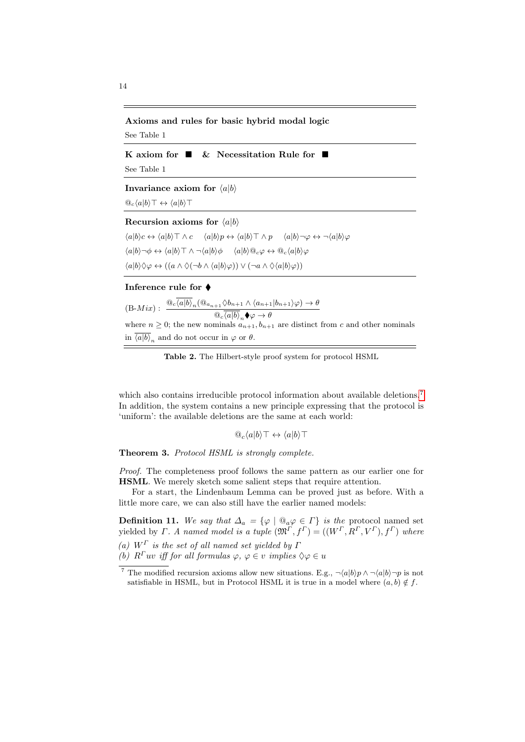#### Axioms and rules for basic hybrid modal logic

See Table 1

K axiom for  $\Box$  & Necessitation Rule for  $\Box$ 

See Table 1

Invariance axiom for  $\langle a|b \rangle$ 

 $@_{c}\langle a|b\rangle\top \leftrightarrow \langle a|b\rangle\top$ 

Recursion axioms for  $\langle a|b \rangle$ 

 $\langle a|b\rangle c \leftrightarrow \langle a|b\rangle \top \wedge c \quad \langle a|b\rangle p \leftrightarrow \langle a|b\rangle \top \wedge p \quad \langle a|b\rangle \neg \varphi \leftrightarrow \neg \langle a|b\rangle \varphi$  $\langle a|b\rangle \neg \phi \leftrightarrow \langle a|b\rangle \top \wedge \neg \langle a|b\rangle \phi$   $\langle a|b\rangle @_{c}\varphi \leftrightarrow @_{c}\langle a|b\rangle \varphi$  $\langle a|b\rangle\Diamond\varphi \leftrightarrow ((a \land \Diamond(\neg b \land \langle a|b\rangle\varphi)) \lor (\neg a \land \Diamond \langle a|b\rangle\varphi))$ 

#### Inference rule for

 $(B\text{-}Mix): \frac{@\c\overline{\langle a|b\rangle}_n(\mathbb{Q}_{a_{n+1}}\Diamond b_{n+1}\land\langle a_{n+1}|b_{n+1}\rangle\varphi)\to\theta}{\overline{\langle a|b\rangle}_n}$  $@_{c}\overline{\langle a|b\rangle}_{n} \blacklozenge\varphi \rightarrow \theta$ where  $n \geq 0$ ; the new nominals  $a_{n+1}, b_{n+1}$  are distinct from c and other nominals in  $\langle a|b\rangle_n$  and do not occur in  $\varphi$  or  $\theta$ .

Table 2. The Hilbert-style proof system for protocol HSML

which also contains irreducible protocol information about available deletions.<sup>[7](#page-13-0)</sup> In addition, the system contains a new principle expressing that the protocol is 'uniform': the available deletions are the same at each world:

$$
{}^{\textcircled{a}}c\langle a|b\rangle\top \leftrightarrow \langle a|b\rangle\top
$$

Theorem 3. Protocol HSML is strongly complete.

Proof. The completeness proof follows the same pattern as our earlier one for HSML. We merely sketch some salient steps that require attention.

For a start, the Lindenbaum Lemma can be proved just as before. With a little more care, we can also still have the earlier named models:

**Definition 11.** We say that  $\Delta_a = {\varphi \mid \mathcal{Q}_a \varphi \in \Gamma}$  is the protocol named set yielded by  $\Gamma$ . A named model is a tuple  $(\mathfrak{M}^{\Gamma}, f^{\Gamma}) = ((W^{\Gamma}, R^{\Gamma}, V^{\Gamma}), f^{\Gamma})$  where (a)  $W^{\Gamma}$  is the set of all named set yielded by  $\Gamma$ 

(b)  $R^{\Gamma}uv$  iff for all formulas  $\varphi, \varphi \in v$  implies  $\Diamond \varphi \in u$ 

14

<span id="page-13-0"></span><sup>&</sup>lt;sup>7</sup> The modified recursion axioms allow new situations. E.g.,  $\neg \langle a|b \rangle p \wedge \neg \langle a|b \rangle \neg p$  is not satisfiable in HSML, but in Protocol HSML it is true in a model where  $(a, b) \notin f$ .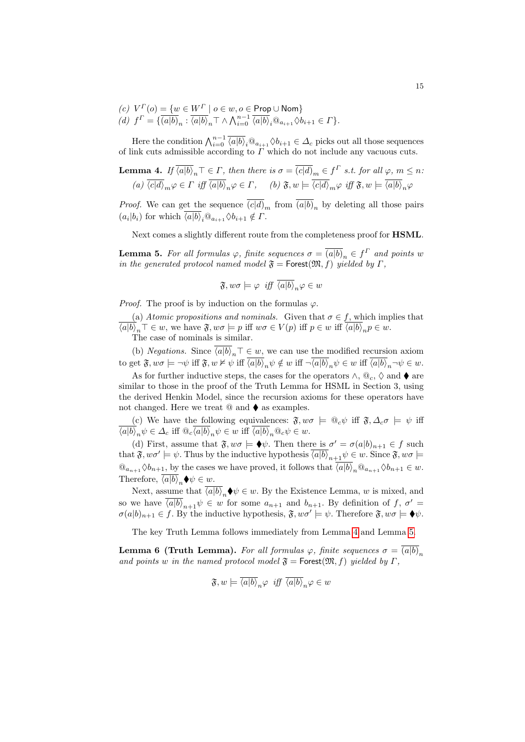$(c) V^{\Gamma}(o) = \{w \in W^{\Gamma} \mid o \in w, o \in \mathsf{Prop} \cup \mathsf{Nom}\}$ (d)  $f^{\Gamma} = \{ \overline{(a|b)}_n : \overline{\langle a|b \rangle}_n \top \wedge \bigwedge_{i=0}^{n-1} \overline{\langle a|b \rangle}_i @_{a_{i+1}} \Diamond b_{i+1} \in \Gamma \}.$ 

Here the condition  $\bigwedge_{i=0}^{n-1} \overline{\langle a|b \rangle}_i \mathbb{Q}_{a_{i+1}} \Diamond b_{i+1} \in \Delta_c$  picks out all those sequences of link cuts admissible according to  $\Gamma$  which do not include any vacuous cuts.

<span id="page-14-0"></span>**Lemma 4.** If 
$$
\overline{\langle a|b \rangle}_n \top \in \Gamma
$$
, then there is  $\sigma = \overline{(c|d)}_m \in f^{\Gamma}$  s.t. for all  $\varphi, m \le n$ :  
\n(a)  $\overline{\langle c|d \rangle}_m \varphi \in \Gamma$  iff  $\overline{\langle a|b \rangle}_n \varphi \in \Gamma$ , (b)  $\mathfrak{F}, w \models \overline{\langle c|d \rangle}_m \varphi$  iff  $\mathfrak{F}, w \models \overline{\langle a|b \rangle}_n \varphi$ 

*Proof.* We can get the sequence  $(c|d)_m$  from  $(a|b)_n$  by deleting all those pairs  $(a_i|b_i)$  for which  $\overline{\langle a|b \rangle}_i \mathbb{Q}_{a_{i+1}} \Diamond b_{i+1} \notin \Gamma$ .

Next comes a slightly different route from the completeness proof for HSML.

<span id="page-14-1"></span>**Lemma 5.** For all formulas  $\varphi$ , finite sequences  $\sigma = \overline{(a|b)}_n \in f^{\Gamma}$  and points w in the generated protocol named model  $\mathfrak{F} =$  Forest $(\mathfrak{M}, f)$  yielded by  $\Gamma$ ,

$$
\mathfrak{F}, w\sigma \models \varphi \text{ iff } \overline{\langle a|b \rangle}_n \varphi \in w
$$

*Proof.* The proof is by induction on the formulas  $\varphi$ .

(a) Atomic propositions and nominals. Given that  $\sigma \in f$ , which implies that  $\langle a|b\rangle_n \top \in w$ , we have  $\mathfrak{F}, w\sigma \models p$  iff  $w\sigma \in V(p)$  iff  $p \in w$  iff  $\langle a|b\rangle_n p \in w$ .

The case of nominals is similar.

(b) *Negations.* Since  $\overline{\langle a|b\rangle}_n \top \in w$ , we can use the modified recursion axiom to get  $\mathfrak{F}, w\sigma \models \neg \psi$  iff  $\mathfrak{F}, w \nvDash \psi$  iff  $\langle a|b\rangle_n \psi \notin w$  iff  $\langle a|b\rangle_n \psi \in w$  iff  $\langle a|b\rangle_n \neg \psi \in w$ .

As for further inductive steps, the cases for the operators  $\wedge$ ,  $\mathbb{Q}_c$ ,  $\Diamond$  and  $\blacklozenge$  are similar to those in the proof of the Truth Lemma for HSML in Section 3, using the derived Henkin Model, since the recursion axioms for these operators have not changed. Here we treat  $\mathcal Q$  and  $\blacklozenge$  as examples.

(c) We have the following equivalences:  $\mathfrak{F}, w\sigma \models \mathbb{Q}_c \psi$  iff  $\mathfrak{F}, \Delta_c \sigma \models \psi$  iff  $\langle a|b\rangle_n\psi \in \Delta_c$  iff  $\mathbb{Q}_c\langle a|b\rangle_n\psi \in w$  iff  $\langle a|b\rangle_n\mathbb{Q}_c\psi \in w$ .

(d) First, assume that  $\mathfrak{F}, w\sigma \models \blacklozenge \psi$ . Then there is  $\sigma' = \sigma(a|b)_{n+1} \in f$  such that  $\mathfrak{F}, w\sigma' \models \psi$ . Thus by the inductive hypothesis  $\overline{\langle a|b \rangle}_{n+1} \psi \in w$ . Since  $\mathfrak{F}, w\sigma \models$  $\mathbb{Q}_{a_{n+1}} \Diamond b_{n+1}$ , by the cases we have proved, it follows that  $\overline{\langle a|b\rangle}_n \mathbb{Q}_{a_{n+1}} \Diamond b_{n+1} \in w$ . Therefore,  $\overline{\langle a|b\rangle}_n \blacklozenge \psi \in w$ .

Next, assume that  $\langle a|b\rangle_n\blacklozenge\psi \in w$ . By the Existence Lemma, w is mixed, and so we have  $\overline{\langle a|b\rangle}_{n+1}\psi \in w$  for some  $a_{n+1}$  and  $b_{n+1}$ . By definition of  $f, \sigma' =$  $\sigma(a|b)_{n+1} \in f$ . By the inductive hypothesis,  $\mathfrak{F}, w\sigma' \models \psi$ . Therefore  $\mathfrak{F}, w\sigma \models \blacklozenge \psi$ .

The key Truth Lemma follows immediately from Lemma [4](#page-14-0) and Lemma [5.](#page-14-1)

**Lemma 6 (Truth Lemma).** For all formulas  $\varphi$ , finite sequences  $\sigma = (a|b)$ <sub>n</sub> and points w in the named protocol model  $\mathfrak{F} =$  Forest $(\mathfrak{M}, f)$  yielded by  $\Gamma$ ,

$$
\mathfrak{F}, w \models \overline{\langle a|b \rangle}_n \varphi \text{ iff } \overline{\langle a|b \rangle}_n \varphi \in w
$$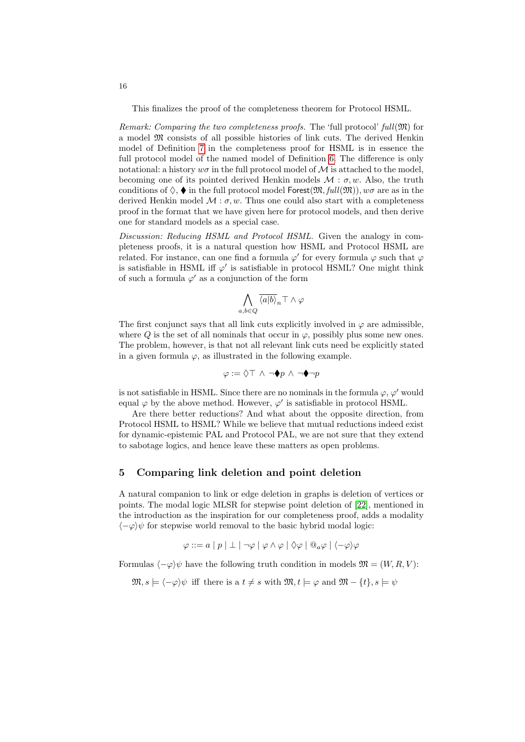This finalizes the proof of the completeness theorem for Protocol HSML.

Remark: Comparing the two completeness proofs. The 'full protocol' full( $\mathfrak{M}$ ) for a model M consists of all possible histories of link cuts. The derived Henkin model of Definition [7](#page-9-1) in the completeness proof for HSML is in essence the full protocol model of the named model of Definition [6.](#page-9-2) The difference is only notational: a history  $w\sigma$  in the full protocol model of M is attached to the model, becoming one of its pointed derived Henkin models  $\mathcal{M} : \sigma, w$ . Also, the truth conditions of  $\Diamond$ .  $\blacklozenge$  in the full protocol model Forest $(\mathfrak{M}, \text{full}(\mathfrak{M}))$ ,  $w\sigma$  are as in the derived Henkin model  $\mathcal{M}$ :  $\sigma, w$ . Thus one could also start with a completeness proof in the format that we have given here for protocol models, and then derive one for standard models as a special case.

Discussion: Reducing HSML and Protocol HSML. Given the analogy in completeness proofs, it is a natural question how HSML and Protocol HSML are related. For instance, can one find a formula  $\varphi'$  for every formula  $\varphi$  such that  $\varphi$ is satisfiable in HSML iff  $\varphi'$  is satisfiable in protocol HSML? One might think of such a formula  $\varphi'$  as a conjunction of the form

$$
\bigwedge_{a,b\in Q}\overline{\langle a|b\rangle}_n\top\wedge\varphi
$$

The first conjunct says that all link cuts explicitly involved in  $\varphi$  are admissible, where  $Q$  is the set of all nominals that occur in  $\varphi$ , possibly plus some new ones. The problem, however, is that not all relevant link cuts need be explicitly stated in a given formula  $\varphi$ , as illustrated in the following example.

$$
\varphi := \Diamond \top \land \neg \blacklozenge p \land \neg \blacklozenge \neg p
$$

is not satisfiable in HSML. Since there are no nominals in the formula  $\varphi, \varphi'$  would equal  $\varphi$  by the above method. However,  $\varphi'$  is satisfiable in protocol HSML.

Are there better reductions? And what about the opposite direction, from Protocol HSML to HSML? While we believe that mutual reductions indeed exist for dynamic-epistemic PAL and Protocol PAL, we are not sure that they extend to sabotage logics, and hence leave these matters as open problems.

### 5 Comparing link deletion and point deletion

A natural companion to link or edge deletion in graphs is deletion of vertices or points. The modal logic MLSR for stepwise point deletion of [\[22\]](#page-24-8), mentioned in the introduction as the inspiration for our completeness proof, adds a modality  $\langle -\varphi \rangle \psi$  for stepwise world removal to the basic hybrid modal logic:

$$
\varphi ::= a | p | \perp | \neg \varphi | \varphi \wedge \varphi | \Diamond \varphi | @_{a} \varphi | \langle -\varphi \rangle \varphi
$$

Formulas  $\langle -\varphi \rangle \psi$  have the following truth condition in models  $\mathfrak{M} = (W, R, V)$ :

$$
\mathfrak{M}, s \models \langle -\varphi \rangle \psi
$$
 iff there is a  $t \neq s$  with  $\mathfrak{M}, t \models \varphi$  and  $\mathfrak{M} - \{t\}, s \models \psi$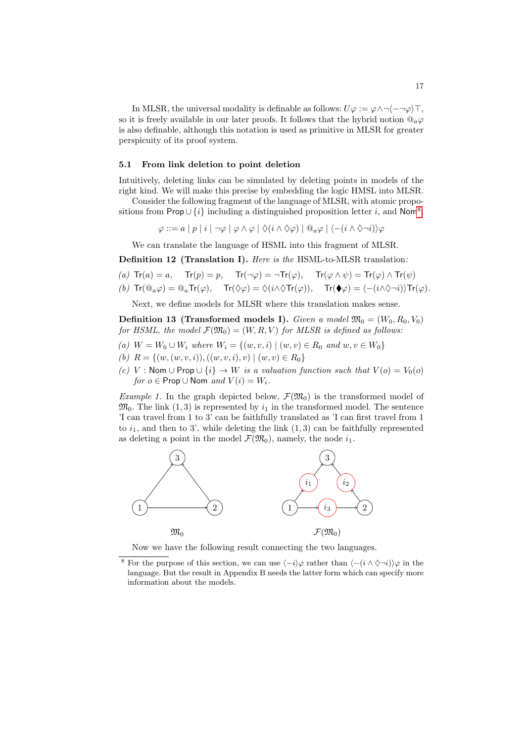In MLSR, the universal modality is definable as follows:  $U\varphi := \varphi \wedge \neg \langle -\neg \varphi \rangle \top$ , so it is freely available in our later proofs. It follows that the hybrid notion  $\mathbb{Q}_a\varphi$ is also definable, although this notation is used as primitive in MLSR for greater perspicuity of its proof system.

#### 5.1 From link deletion to point deletion

Intuitively, deleting links can be simulated by deleting points in models of the right kind. We will make this precise by embedding the logic HMSL into MLSR.

Consider the following fragment of the language of MLSR, with atomic propositions from Prop  $\cup \{i\}$  including a distinguished proposition letter i, and Nom<sup>[8](#page-16-0)</sup>:

<span id="page-16-1"></span> $\varphi ::= a | p | i | \neg \varphi | \varphi \wedge \varphi | \Diamond (i \wedge \Diamond \varphi) | \mathbb{Q}_a \varphi | \langle -(i \wedge \Diamond \neg i) \rangle \varphi$ 

We can translate the language of HSML into this fragment of MLSR.

Definition 12 (Translation I). Here is the HSML-to-MLSR translation:

\n- (a) 
$$
\text{Tr}(a) = a
$$
,  $\text{Tr}(p) = p$ ,  $\text{Tr}(\neg \varphi) = \neg \text{Tr}(\varphi)$ ,  $\text{Tr}(\varphi \wedge \psi) = \text{Tr}(\varphi) \wedge \text{Tr}(\psi)$
\n- (b)  $\text{Tr}(\mathbb{Q}_a \varphi) = \mathbb{Q}_a \text{Tr}(\varphi)$ ,  $\text{Tr}(\Diamond \varphi) = \Diamond(i \wedge \Diamond \text{Tr}(\varphi))$ ,  $\text{Tr}(\blacklozenge \varphi) = \langle - (i \wedge \Diamond \neg i) \rangle \text{Tr}(\varphi)$ .
\n

Next, we define models for MLSR where this translation makes sense.

**Definition 13 (Transformed models I).** Given a model  $\mathfrak{M}_0 = (W_0, R_0, V_0)$ for HSML, the model  $\mathcal{F}(\mathfrak{M}_0) = (W, R, V)$  for MLSR is defined as follows:

- (a)  $W = W_0 \cup W_i$  where  $W_i = \{(w, v, i) \mid (w, v) \in R_0 \text{ and } w, v \in W_0\}$
- (b)  $R = \{(w, (w, v, i)), ((w, v, i), v) \mid (w, v) \in R_0\}$
- (c) V : Nom  $\cup$  Prop  $\cup$   $\{i\} \rightarrow W$  is a valuation function such that  $V(o) = V_0(o)$ for  $o \in \textsf{Prop} \cup \textsf{Nom}$  and  $V(i) = W_i$ .

*Example 1.* In the graph depicted below,  $\mathcal{F}(\mathfrak{M}_0)$  is the transformed model of  $\mathfrak{M}_0$ . The link (1, 3) is represented by  $i_1$  in the transformed model. The sentence 'I can travel from 1 to 3' can be faithfully translated as 'I can first travel from 1 to  $i_1$ , and then to 3', while deleting the link  $(1, 3)$  can be faithfully represented as deleting a point in the model  $\mathcal{F}(\mathfrak{M}_0)$ , namely, the node  $i_1$ .



Now we have the following result connecting the two languages.

<span id="page-16-0"></span><sup>&</sup>lt;sup>8</sup> For the purpose of this section, we can use  $\langle -i\rangle\varphi$  rather than  $\langle -(i \wedge \Diamond \neg i)\rangle\varphi$  in the language. But the result in Appendix B needs the latter form which can specify more information about the models.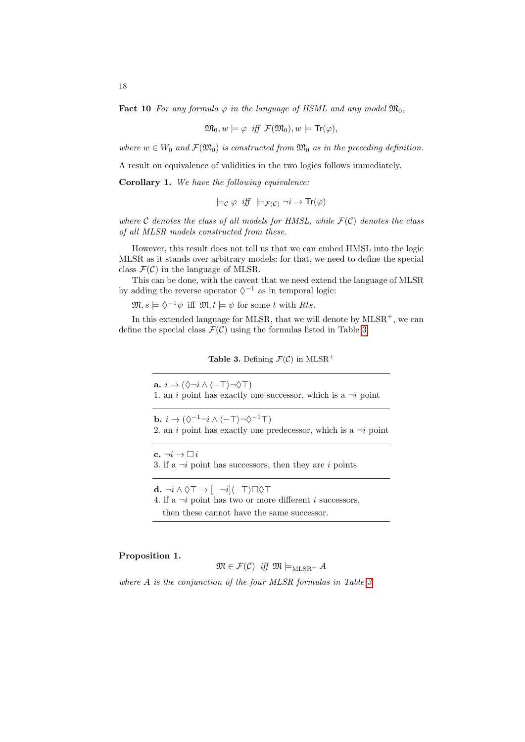**Fact 10** For any formula  $\varphi$  in the language of HSML and any model  $\mathfrak{M}_0$ ,

$$
\mathfrak{M}_0, w \models \varphi \text{ iff } \mathcal{F}(\mathfrak{M}_0), w \models \mathsf{Tr}(\varphi),
$$

where  $w \in W_0$  and  $\mathcal{F}(\mathfrak{M}_0)$  is constructed from  $\mathfrak{M}_0$  as in the preceding definition.

A result on equivalence of validities in the two logics follows immediately.

Corollary 1. We have the following equivalence:

$$
\models_c \varphi \text{ iff } \models_{\mathcal{F}(c)} \neg i \rightarrow \text{Tr}(\varphi)
$$

where  $C$  denotes the class of all models for HMSL, while  $\mathcal{F}(\mathcal{C})$  denotes the class of all MLSR models constructed from these.

However, this result does not tell us that we can embed HMSL into the logic MLSR as it stands over arbitrary models: for that, we need to define the special class  $\mathcal{F}(\mathcal{C})$  in the language of MLSR.

This can be done, with the caveat that we need extend the language of MLSR by adding the reverse operator  $\lozenge^{-1}$  as in temporal logic:

 $\mathfrak{M}, s \models \Diamond^{-1} \psi \text{ iff } \mathfrak{M}, t \models \psi \text{ for some } t \text{ with } Rts.$ 

In this extended language for MLSR, that we will denote by  $MLSR^+$ , we can define the special class  $\mathcal{F}(\mathcal{C})$  using the formulas listed in Table [3.](#page-17-0)

<span id="page-17-0"></span>**Table 3.** Defining  $\mathcal{F}(\mathcal{C})$  in MLSR<sup>+</sup>

a.  $i \rightarrow (\Diamond \neg i \land \langle -\top \rangle \neg \Diamond \top)$ 1. an i point has exactly one successor, which is a  $\neg i$  point

**b.**  $i \to (\Diamond^{-1} \neg i \land \langle -\top \rangle \neg \Diamond^{-1} \top)$ 

2. an i point has exactly one predecessor, which is a  $\neg i$  point

- c.  $\neg i \rightarrow \Box i$
- 3. if a  $\neg i$  point has successors, then they are i points

d.  $\neg i \land \Diamond \top \rightarrow [-\neg i] \langle -\top \rangle \Box \Diamond \top$ 

4. if a  $\neg i$  point has two or more different *i* successors,

then these cannot have the same successor.

#### <span id="page-17-1"></span>Proposition 1.

$$
\mathfrak{M} \in \mathcal{F}(\mathcal{C}) \quad \text{iff} \quad \mathfrak{M} \models_{\mathrm{MLSR}^+} A
$$

where A is the conjunction of the four MLSR formulas in Table [3.](#page-17-0)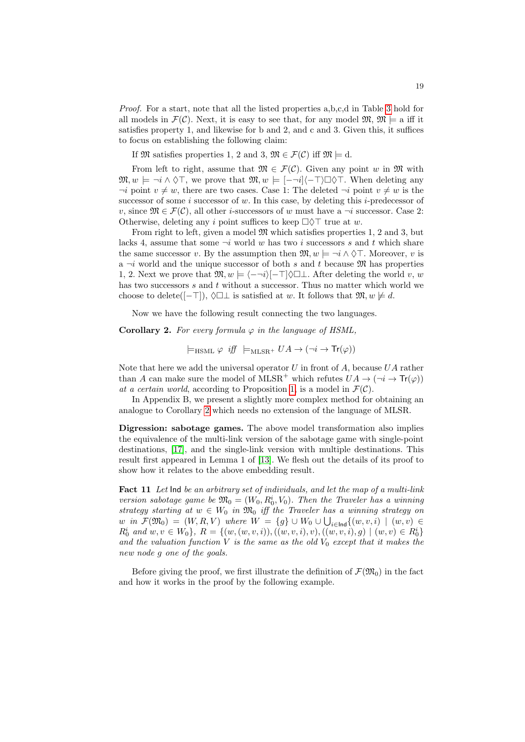Proof. For a start, note that all the listed properties a,b,c,d in Table [3](#page-17-0) hold for all models in  $\mathcal{F}(\mathcal{C})$ . Next, it is easy to see that, for any model  $\mathfrak{M}, \mathfrak{M} \models$  a iff it satisfies property 1, and likewise for b and 2, and c and 3. Given this, it suffices to focus on establishing the following claim:

If M satisfies properties 1, 2 and 3,  $\mathfrak{M} \in \mathcal{F}(\mathcal{C})$  iff  $\mathfrak{M} \models d$ .

From left to right, assume that  $\mathfrak{M} \in \mathcal{F}(\mathcal{C})$ . Given any point w in  $\mathfrak{M}$  with  $\mathfrak{M}, w \models \neg i \land \Diamond \top$ , we prove that  $\mathfrak{M}, w \models [-\neg i] \langle -\top \rangle \Box \Diamond \top$ . When deleting any  $\neg i$  point  $v \neq w$ , there are two cases. Case 1: The deleted  $\neg i$  point  $v \neq w$  is the successor of some i successor of w. In this case, by deleting this i-predecessor of v, since  $\mathfrak{M} \in \mathcal{F}(\mathcal{C})$ , all other *i*-successors of w must have a  $\neg i$  successor. Case 2: Otherwise, deleting any i point suffices to keep  $\Box \Diamond \top$  true at w.

From right to left, given a model  $\mathfrak{M}$  which satisfies properties 1, 2 and 3, but lacks 4, assume that some  $\neg i$  world w has two i successors s and t which share the same successor v. By the assumption then  $\mathfrak{M}, w \models \neg i \land \Diamond \top$ . Moreover, v is a  $\neg i$  world and the unique successor of both s and t because  $\mathfrak{M}$  has properties 1, 2. Next we prove that  $\mathfrak{M}, w \models \langle -\neg i \rangle \land \Box \bot$ . After deleting the world v, w has two successors s and t without a successor. Thus no matter which world we choose to delete([- $\top$ ]),  $\Diamond$   $\Box \bot$  is satisfied at w. It follows that  $\mathfrak{M}, w \not\models d$ .

Now we have the following result connecting the two languages.

**Corollary 2.** For every formula  $\varphi$  in the language of HSML,

<span id="page-18-0"></span> $\models_{\text{HSML}} \varphi \text{ iff } \models_{\text{MLSR}^+} UA \to (\neg i \to \text{Tr}(\varphi))$ 

Note that here we add the universal operator  $U$  in front of  $A$ , because  $UA$  rather than A can make sure the model of MLSR<sup>+</sup> which refutes  $UA \rightarrow (\neg i \rightarrow Tr(\varphi))$ at a certain world, according to Proposition [1,](#page-17-1) is a model in  $\mathcal{F}(\mathcal{C})$ .

In Appendix B, we present a slightly more complex method for obtaining an analogue to Corollary [2](#page-18-0) which needs no extension of the language of MLSR.

Digression: sabotage games. The above model transformation also implies the equivalence of the multi-link version of the sabotage game with single-point destinations, [\[17\]](#page-24-0), and the single-link version with multiple destinations. This result first appeared in Lemma 1 of [\[13\]](#page-24-1). We flesh out the details of its proof to show how it relates to the above embedding result.

Fact 11 Let Ind be an arbitrary set of individuals, and let the map of a multi-link version sabotage game be  $\mathfrak{M}_0 = (W_0, R_0^i, V_0)$ . Then the Traveler has a winning strategy starting at  $w \in W_0$  in  $\mathfrak{M}_0$  iff the Traveler has a winning strategy on  $w \text{ in } \mathcal{F}(\mathfrak{M}_0) = (W, R, V) \text{ where } W = \{g\} \cup W_0 \cup \bigcup_{i \in \text{Ind}} \{(w, v, i) \mid (w, v) \in$  $R_0^i$  and  $w, v \in W_0$ ,  $R = \{(w, (w, v, i)), ((w, v, i), v), ((w, v, i), g) \mid (w, v) \in R_0^i\}$ and the valuation function V is the same as the old  $V_0$  except that it makes the new node g one of the goals.

Before giving the proof, we first illustrate the definition of  $\mathcal{F}(\mathfrak{M}_0)$  in the fact and how it works in the proof by the following example.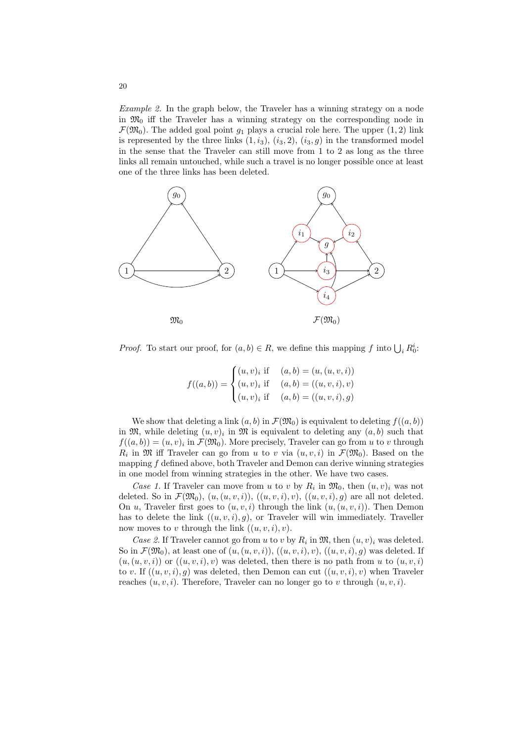Example 2. In the graph below, the Traveler has a winning strategy on a node in  $\mathfrak{M}_0$  iff the Traveler has a winning strategy on the corresponding node in  $\mathcal{F}(\mathfrak{M}_0)$ . The added goal point  $g_1$  plays a crucial role here. The upper  $(1, 2)$  link is represented by the three links  $(1, i_3), (i_3, 2), (i_3, g)$  in the transformed model in the sense that the Traveler can still move from 1 to 2 as long as the three links all remain untouched, while such a travel is no longer possible once at least one of the three links has been deleted.



*Proof.* To start our proof, for  $(a, b) \in R$ , we define this mapping f into  $\bigcup_i R_0^i$ .

$$
f((a,b)) = \begin{cases} (u,v)_i \text{ if } & (a,b) = (u,(u,v,i)) \\ (u,v)_i \text{ if } & (a,b) = ((u,v,i),v) \\ (u,v)_i \text{ if } & (a,b) = ((u,v,i),g) \end{cases}
$$

We show that deleting a link  $(a, b)$  in  $\mathcal{F}(\mathfrak{M}_0)$  is equivalent to deleting  $f((a, b))$ in  $\mathfrak{M}$ , while deleting  $(u, v)_i$  in  $\mathfrak{M}$  is equivalent to deleting any  $(a, b)$  such that  $f((a, b)) = (u, v)_i$  in  $\mathcal{F}(\mathfrak{M}_0)$ . More precisely, Traveler can go from u to v through  $R_i$  in  $\mathfrak M$  iff Traveler can go from u to v via  $(u, v, i)$  in  $\mathcal F(\mathfrak M_0)$ . Based on the mapping f defined above, both Traveler and Demon can derive winning strategies in one model from winning strategies in the other. We have two cases.

Case 1. If Traveler can move from u to v by  $R_i$  in  $\mathfrak{M}_0$ , then  $(u, v)_i$  was not deleted. So in  $\mathcal{F}(\mathfrak{M}_0), (u, (u, v, i)), ((u, v, i), v), ((u, v, i), g)$  are all not deleted. On u, Traveler first goes to  $(u, v, i)$  through the link  $(u, (u, v, i))$ . Then Demon has to delete the link  $((u, v, i), g)$ , or Traveler will win immediately. Traveller now moves to v through the link  $((u, v, i), v)$ .

Case 2. If Traveler cannot go from u to v by  $R_i$  in  $\mathfrak{M}$ , then  $(u, v)_i$  was deleted. So in  $\mathcal{F}(\mathfrak{M}_0)$ , at least one of  $(u,(u,v,i)), (u,v,i),v), (u,v,i),g)$  was deleted. If  $(u,(u,v,i))$  or  $((u,v,i),v)$  was deleted, then there is no path from u to  $(u,v,i)$ to v. If  $((u, v, i), g)$  was deleted, then Demon can cut  $((u, v, i), v)$  when Traveler reaches  $(u, v, i)$ . Therefore, Traveler can no longer go to v through  $(u, v, i)$ .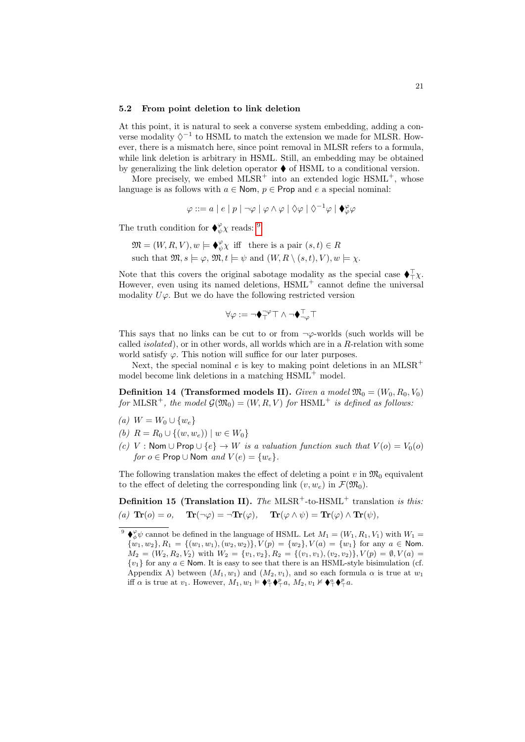#### 5.2 From point deletion to link deletion

At this point, it is natural to seek a converse system embedding, adding a converse modality  $\lozenge^{-1}$  to HSML to match the extension we made for MLSR. However, there is a mismatch here, since point removal in MLSR refers to a formula, while link deletion is arbitrary in HSML. Still, an embedding may be obtained by generalizing the link deletion operator  $\blacklozenge$  of HSML to a conditional version.

More precisely, we embed  $MLSR^+$  into an extended logic  $HSML^+$ , whose language is as follows with  $a \in \mathsf{Nom}, p \in \mathsf{Prop}$  and e a special nominal:

$$
\varphi ::= a \mid e \mid p \mid \neg \varphi \mid \varphi \wedge \varphi \mid \Diamond \varphi \mid \Diamond^{-1} \varphi \mid \blacklozenge_{\varphi}^{\varphi} \varphi
$$

The truth condition for  $\blacklozenge_{\psi}^{\varphi} \chi$  reads: <sup>[9](#page-20-0)</sup>

 $\mathfrak{M} = (W, R, V), w \models \bigoplus_{\psi}^{\varphi} \chi \text{ iff } \text{ there is a pair } (s, t) \in R$ such that  $\mathfrak{M}, s \models \varphi, \mathfrak{M}, t \models \psi \text{ and } (W, R \setminus (s, t), V), w \models \chi.$ 

Note that this covers the original sabotage modality as the special case  $\blacklozenge^{\top}_\top \chi$ . However, even using its named deletions,  $HSML^+$  cannot define the universal modality  $U\varphi$ . But we do have the following restricted version

<span id="page-20-1"></span>
$$
\forall \varphi := \neg \blacklozenge^{\neg \varphi}_T \top \wedge \neg \blacklozenge^{\top}_{\neg \varphi} \top
$$

This says that no links can be cut to or from  $\neg \varphi$ -worlds (such worlds will be called isolated), or in other words, all worlds which are in a R-relation with some world satisfy  $\varphi$ . This notion will suffice for our later purposes.

Next, the special nominal e is key to making point deletions in an  $MLSR^+$ model become link deletions in a matching HSML<sup>+</sup> model.

**Definition 14 (Transformed models II).** Given a model  $\mathfrak{M}_0 = (W_0, R_0, V_0)$ for MLSR<sup>+</sup>, the model  $\mathcal{G}(\mathfrak{M}_0) = (W, R, V)$  for HSML<sup>+</sup> is defined as follows:

- (a)  $W = W_0 \cup \{w_e\}$
- (b)  $R = R_0 \cup \{(w, w_e)\}\, | \, w \in W_0\}$
- (c) V : Nom  $\cup$  Prop  $\cup \{e\} \rightarrow W$  is a valuation function such that  $V(o) = V_0(o)$ for  $o \in \text{Prop} \cup \text{Nom}$  and  $V(e) = \{w_e\}.$

The following translation makes the effect of deleting a point v in  $\mathfrak{M}_0$  equivalent to the effect of deleting the corresponding link  $(v, w_e)$  in  $\mathcal{F}(\mathfrak{M}_0)$ .

**Definition 15 (Translation II).** The  $MLSR^+$ -to-HSML<sup>+</sup> translation is this: (a)  $\text{Tr}(o) = o$ ,  $\text{Tr}(\neg \varphi) = \neg \text{Tr}(\varphi)$ ,  $\text{Tr}(\varphi \wedge \psi) = \text{Tr}(\varphi) \wedge \text{Tr}(\psi)$ ,

<span id="page-20-0"></span><sup>&</sup>lt;sup>9</sup>  $\blacklozenge^{\varphi}_{\phi}\psi$  cannot be defined in the language of HSML. Let  $M_1 = (W_1, R_1, V_1)$  with  $W_1 =$  $\{\overline{w_1}, w_2\}, R_1 = \{(w_1, w_1), (w_2, w_2)\}, V(p) = \{w_2\}, V(a) = \{w_1\}$  for any  $a \in \mathbb{N}$ om.  $M_2 = (W_2, R_2, V_2)$  with  $W_2 = \{v_1, v_2\}, R_2 = \{(v_1, v_1), (v_2, v_2)\}, V(p) = \emptyset, V(a)$  ${v_1}$  for any  $a \in \text{Nom}$ . It is easy to see that there is an HSML-style bisimulation (cf. Appendix A) between  $(M_1, w_1)$  and  $(M_2, v_1)$ , and so each formula  $\alpha$  is true at  $w_1$ iff  $\alpha$  is true at  $v_1$ . However,  $M_1, w_1 \vDash \blacklozenge^a_{\top} \blacklozenge^p_{\top} a$ ,  $M_2, v_1 \nvDash \blacklozenge^a_{\top} \blacklozenge^p_{\top} a$ .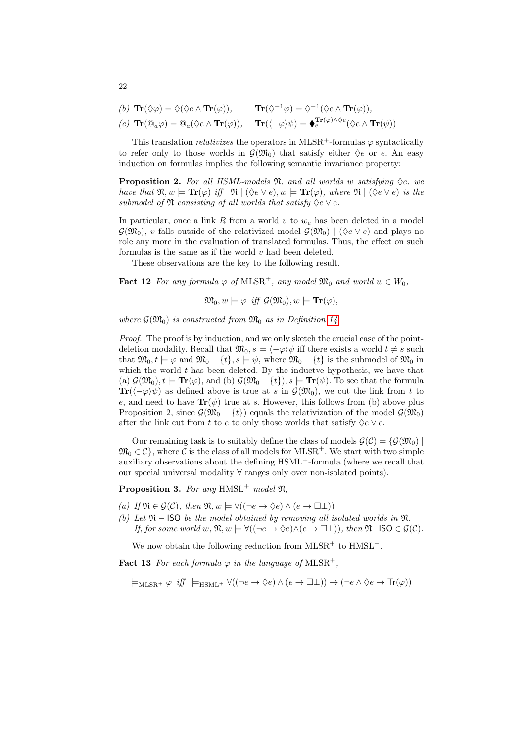(b) 
$$
\text{Tr}(\Diamond \varphi) = \Diamond (\Diamond e \wedge \text{Tr}(\varphi)), \qquad \text{Tr}(\Diamond^{-1} \varphi) = \Diamond^{-1}(\Diamond e \wedge \text{Tr}(\varphi)),
$$

$$
(c)\ \mathbf{Tr}(@_a\varphi)=@_a(\Diamond e\wedge\mathbf{Tr}(\varphi)),\quad \mathbf{Tr}((-\varphi)\psi)=\blacklozenge^{\mathbf{Tr}(\varphi)\wedge\Diamond e}(\Diamond e\wedge\mathbf{Tr}(\psi))
$$

This translation *relativizes* the operators in MLSR<sup>+</sup>-formulas  $\varphi$  syntactically to refer only to those worlds in  $\mathcal{G}(\mathfrak{M}_0)$  that satisfy either  $\Diamond e$  or e. An easy induction on formulas implies the following semantic invariance property:

**Proposition 2.** For all HSML-models  $\mathfrak{N}$ , and all worlds w satisfying  $\Diamond e$ , we have that  $\mathfrak{N}, w \models \textbf{Tr}(\varphi)$  iff  $\mathfrak{N} \mid (\Diamond e \vee e), w \models \textbf{Tr}(\varphi)$ , where  $\mathfrak{N} \mid (\Diamond e \vee e)$  is the submodel of  $\mathfrak N$  consisting of all worlds that satisfy  $\Diamond e \vee e$ .

In particular, once a link R from a world v to  $w_e$  has been deleted in a model  $\mathcal{G}(\mathfrak{M}_0), v$  falls outside of the relativized model  $\mathcal{G}(\mathfrak{M}_0)$  | ( $\Diamond e \vee e$ ) and plays no role any more in the evaluation of translated formulas. Thus, the effect on such formulas is the same as if the world  $v$  had been deleted.

These observations are the key to the following result.

**Fact 12** For any formula  $\varphi$  of MLSR<sup>+</sup>, any model  $\mathfrak{M}_0$  and world  $w \in W_0$ ,

 $\mathfrak{M}_0, w \models \varphi \text{ iff } \mathcal{G}(\mathfrak{M}_0), w \models \text{Tr}(\varphi),$ 

where  $\mathcal{G}(\mathfrak{M}_0)$  is constructed from  $\mathfrak{M}_0$  as in Definition [14.](#page-20-1)

Proof. The proof is by induction, and we only sketch the crucial case of the pointdeletion modality. Recall that  $\mathfrak{M}_0$ ,  $s \models \langle -\varphi \rangle \psi$  iff there exists a world  $t \neq s$  such that  $\mathfrak{M}_0, t \models \varphi$  and  $\mathfrak{M}_0 - \{t\}, s \models \psi$ , where  $\mathfrak{M}_0 - \{t\}$  is the submodel of  $\mathfrak{M}_0$  in which the world  $t$  has been deleted. By the inductve hypothesis, we have that (a)  $\mathcal{G}(\mathfrak{M}_0), t \models \text{Tr}(\varphi)$ , and (b)  $\mathcal{G}(\mathfrak{M}_0 - \{t\}), s \models \text{Tr}(\psi)$ . To see that the formula  $\text{Tr}(\langle -\varphi \rangle \psi)$  as defined above is true at s in  $\mathcal{G}(\mathfrak{M}_0)$ , we cut the link from t to e, and need to have  $\text{Tr}(\psi)$  true at s. However, this follows from (b) above plus Proposition 2, since  $\mathcal{G}(\mathfrak{M}_0 - \{t\})$  equals the relativization of the model  $\mathcal{G}(\mathfrak{M}_0)$ after the link cut from t to e to only those worlds that satisfy  $\Diamond e \vee e$ .

Our remaining task is to suitably define the class of models  $\mathcal{G}(\mathcal{C}) = \{ \mathcal{G}(\mathfrak{M}_0) \mid$  $\mathfrak{M}_0 \in \mathcal{C}$ , where C is the class of all models for MLSR<sup>+</sup>. We start with two simple auxiliary observations about the defining HSML<sup>+</sup>-formula (where we recall that our special universal modality ∀ ranges only over non-isolated points).

**Proposition 3.** For any  $HMSL^+$  model  $\mathfrak{N}$ .

- (a) If  $\mathfrak{N} \in \mathcal{G}(\mathcal{C})$ , then  $\mathfrak{N}, w \models \forall ((\neg e \rightarrow \Diamond e) \land (e \rightarrow \Box \bot))$
- (b) Let  $\mathfrak{N}$  − ISO be the model obtained by removing all isolated worlds in  $\mathfrak{N}$ . If, for some world w,  $\mathfrak{N}, w \models \forall ((\neg e \rightarrow \Diamond e) \land (e \rightarrow \Box \bot))$ , then  $\mathfrak{N}$ -ISO  $\in \mathcal{G}(\mathcal{C})$ .

We now obtain the following reduction from  $MLSR^+$  to  $HMSL^+$ .

**Fact 13** For each formula  $\varphi$  in the language of MLSR<sup>+</sup>,

$$
\models_{\mathrm{MLSR}^+} \varphi \text{ iff } \models_{\mathrm{HSML}^+} \forall ((\neg e \to \Diamond e) \land (e \to \Box \bot)) \to (\neg e \land \Diamond e \to \mathrm{Tr}(\varphi))
$$

22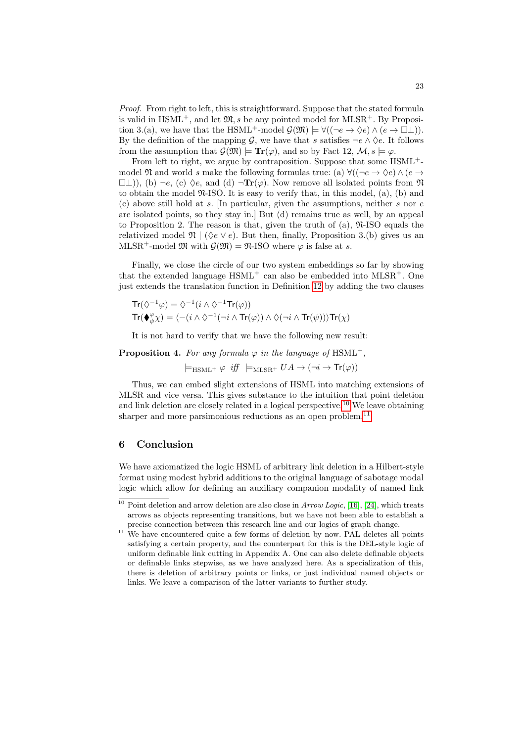Proof. From right to left, this is straightforward. Suppose that the stated formula is valid in HSML<sup>+</sup>, and let  $\mathfrak{M}, s$  be any pointed model for MLSR<sup>+</sup>. By Proposition 3.(a), we have that the HSML<sup>+</sup>-model  $\mathcal{G}(\mathfrak{M}) \models \forall ((\neg e \rightarrow \Diamond e) \land (e \rightarrow \Box \bot)).$ By the definition of the mapping G, we have that s satisfies  $\neg e \wedge \Diamond e$ . It follows from the assumption that  $\mathcal{G}(\mathfrak{M}) \models \text{Tr}(\varphi)$ , and so by Fact 12,  $\mathcal{M}, s \models \varphi$ .

From left to right, we argue by contraposition. Suppose that some HSML<sup>+</sup>model  $\Re$  and world s make the following formulas true: (a)  $\forall ((\neg e \rightarrow \Diamond e) \land (e \rightarrow \Diamond e))$  $\Box$ ), (b) ¬e, (c)  $\Diamond$ e, and (d) ¬ $\mathbf{Tr}(\varphi)$ . Now remove all isolated points from  $\mathfrak{N}$ to obtain the model  $\mathfrak{N}\text{-ISO}$ . It is easy to verify that, in this model, (a), (b) and (c) above still hold at s. [In particular, given the assumptions, neither s nor  $e$ are isolated points, so they stay in.] But (d) remains true as well, by an appeal to Proposition 2. The reason is that, given the truth of  $(a)$ ,  $\mathfrak{N}\text{-ISO}$  equals the relativized model  $\mathfrak{N} \mid (\Diamond e \lor e)$ . But then, finally, Proposition 3.(b) gives us an MLSR<sup>+</sup>-model  $\mathfrak{M}$  with  $\mathcal{G}(\mathfrak{M}) = \mathfrak{N}$ -ISO where  $\varphi$  is false at s.

Finally, we close the circle of our two system embeddings so far by showing that the extended language  $HSML^+$  can also be embedded into  $MLSR^+$ . One just extends the translation function in Definition [12](#page-16-1) by adding the two clauses

$$
\begin{aligned} \mathrm{Tr}(\Diamond^{-1}\varphi)&=\Diamond^{-1}(i\wedge\Diamond^{-1}\mathrm{Tr}(\varphi))\\ \mathrm{Tr}(\blacklozenge^{\varphi}_{\psi}\chi)&=\langle -(i\wedge\Diamond^{-1}(\neg i\wedge\mathrm{Tr}(\varphi))\wedge\Diamond(\neg i\wedge\mathrm{Tr}(\psi)))\mathrm{Tr}(\chi) \end{aligned}
$$

It is not hard to verify that we have the following new result:

## **Proposition 4.** For any formula  $\varphi$  in the language of HSML<sup>+</sup>.

 $\models_{\text{HSML}^+} \varphi \text{ iff } \models_{\text{MLSR}^+} UA \to (\neg i \to \text{Tr}(\varphi))$ 

Thus, we can embed slight extensions of HSML into matching extensions of MLSR and vice versa. This gives substance to the intuition that point deletion and link deletion are closely related in a logical perspective.[10](#page-22-0) We leave obtaining sharper and more parsimonious reductions as an open problem.<sup>[11](#page-22-1)</sup>

#### 6 Conclusion

We have axiomatized the logic HSML of arbitrary link deletion in a Hilbert-style format using modest hybrid additions to the original language of sabotage modal logic which allow for defining an auxiliary companion modality of named link

<span id="page-22-0"></span><sup>&</sup>lt;sup>10</sup> Point deletion and arrow deletion are also close in Arrow Logic, [\[16\]](#page-24-14), [\[24\]](#page-24-15), which treats arrows as objects representing transitions, but we have not been able to establish a precise connection between this research line and our logics of graph change.

<span id="page-22-1"></span> $11$  We have encountered quite a few forms of deletion by now. PAL deletes all points satisfying a certain property, and the counterpart for this is the DEL-style logic of uniform definable link cutting in Appendix A. One can also delete definable objects or definable links stepwise, as we have analyzed here. As a specialization of this, there is deletion of arbitrary points or links, or just individual named objects or links. We leave a comparison of the latter variants to further study.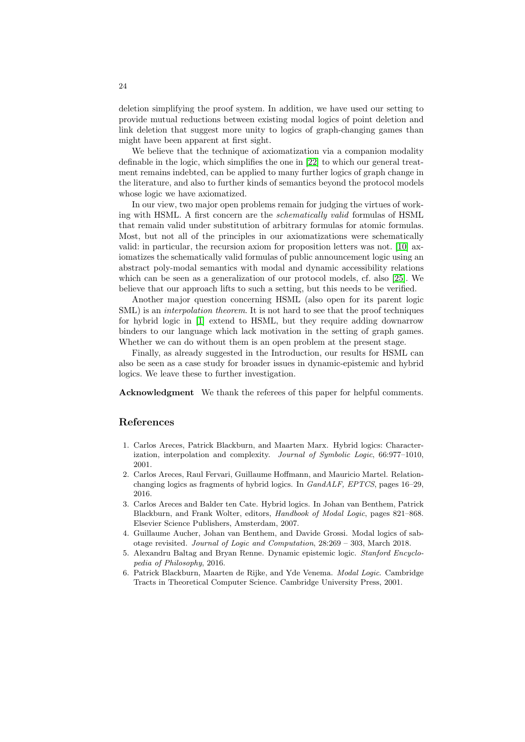deletion simplifying the proof system. In addition, we have used our setting to provide mutual reductions between existing modal logics of point deletion and link deletion that suggest more unity to logics of graph-changing games than might have been apparent at first sight.

We believe that the technique of axiomatization via a companion modality definable in the logic, which simplifies the one in [\[22\]](#page-24-8) to which our general treatment remains indebted, can be applied to many further logics of graph change in the literature, and also to further kinds of semantics beyond the protocol models whose logic we have axiomatized.

In our view, two major open problems remain for judging the virtues of working with HSML. A first concern are the schematically valid formulas of HSML that remain valid under substitution of arbitrary formulas for atomic formulas. Most, but not all of the principles in our axiomatizations were schematically valid: in particular, the recursion axiom for proposition letters was not. [\[10\]](#page-24-16) axiomatizes the schematically valid formulas of public announcement logic using an abstract poly-modal semantics with modal and dynamic accessibility relations which can be seen as a generalization of our protocol models, cf. also [\[25\]](#page-24-17). We believe that our approach lifts to such a setting, but this needs to be verified.

Another major question concerning HSML (also open for its parent logic SML) is an *interpolation theorem*. It is not hard to see that the proof techniques for hybrid logic in [\[1\]](#page-23-5) extend to HSML, but they require adding downarrow binders to our language which lack motivation in the setting of graph games. Whether we can do without them is an open problem at the present stage.

Finally, as already suggested in the Introduction, our results for HSML can also be seen as a case study for broader issues in dynamic-epistemic and hybrid logics. We leave these to further investigation.

Acknowledgment We thank the referees of this paper for helpful comments.

#### References

- <span id="page-23-5"></span>1. Carlos Areces, Patrick Blackburn, and Maarten Marx. Hybrid logics: Characterization, interpolation and complexity. Journal of Symbolic Logic, 66:977–1010, 2001.
- <span id="page-23-1"></span>2. Carlos Areces, Raul Fervari, Guillaume Hoffmann, and Mauricio Martel. Relationchanging logics as fragments of hybrid logics. In GandALF, EPTCS, pages 16–29, 2016.
- <span id="page-23-3"></span>3. Carlos Areces and Balder ten Cate. Hybrid logics. In Johan van Benthem, Patrick Blackburn, and Frank Wolter, editors, Handbook of Modal Logic, pages 821–868. Elsevier Science Publishers, Amsterdam, 2007.
- <span id="page-23-0"></span>4. Guillaume Aucher, Johan van Benthem, and Davide Grossi. Modal logics of sabotage revisited. Journal of Logic and Computation, 28:269 – 303, March 2018.
- <span id="page-23-2"></span>5. Alexandru Baltag and Bryan Renne. Dynamic epistemic logic. Stanford Encyclopedia of Philosophy, 2016.
- <span id="page-23-4"></span>6. Patrick Blackburn, Maarten de Rijke, and Yde Venema. Modal Logic. Cambridge Tracts in Theoretical Computer Science. Cambridge University Press, 2001.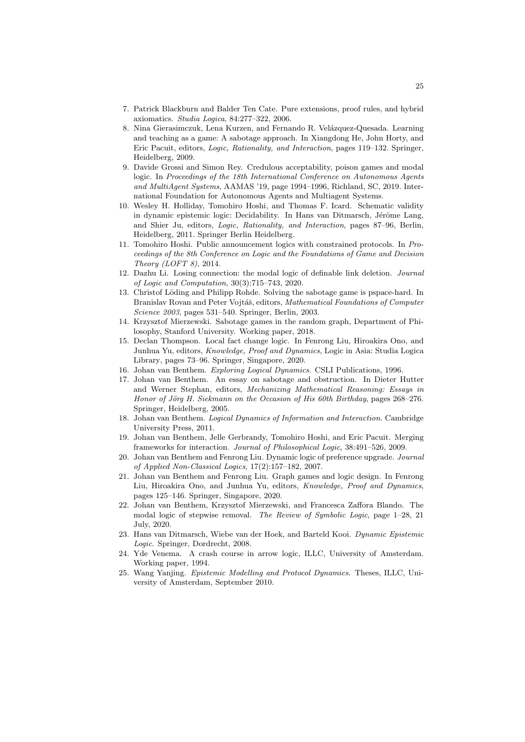- <span id="page-24-12"></span>7. Patrick Blackburn and Balder Ten Cate. Pure extensions, proof rules, and hybrid axiomatics. Studia Logica, 84:277–322, 2006.
- <span id="page-24-4"></span>8. Nina Gierasimczuk, Lena Kurzen, and Fernando R. Velázquez-Quesada. Learning and teaching as a game: A sabotage approach. In Xiangdong He, John Horty, and Eric Pacuit, editors, Logic, Rationality, and Interaction, pages 119–132. Springer, Heidelberg, 2009.
- <span id="page-24-6"></span>9. Davide Grossi and Simon Rey. Credulous acceptability, poison games and modal logic. In Proceedings of the 18th International Conference on Autonomous Agents and MultiAgent Systems, AAMAS '19, page 1994–1996, Richland, SC, 2019. International Foundation for Autonomous Agents and Multiagent Systems.
- <span id="page-24-16"></span>10. Wesley H. Holliday, Tomohiro Hoshi, and Thomas F. Icard. Schematic validity in dynamic epistemic logic: Decidability. In Hans van Ditmarsch, Jérôme Lang, and Shier Ju, editors, Logic, Rationality, and Interaction, pages 87–96, Berlin, Heidelberg, 2011. Springer Berlin Heidelberg.
- <span id="page-24-9"></span>11. Tomohiro Hoshi. Public announcement logics with constrained protocols. In Proceedings of the 8th Conference on Logic and the Foundations of Game and Decision Theory (LOFT 8), 2014.
- <span id="page-24-2"></span>12. Dazhu Li. Losing connection: the modal logic of definable link deletion. Journal of Logic and Computation, 30(3):715–743, 2020.
- <span id="page-24-1"></span>13. Christof Löding and Philipp Rohde. Solving the sabotage game is pspace-hard. In Branislav Rovan and Peter Vojtáš, editors, Mathematical Foundations of Computer Science 2003, pages 531–540. Springer, Berlin, 2003.
- <span id="page-24-3"></span>14. Krzysztof Mierzewski. Sabotage games in the random graph, Department of Philosophy, Stanford University. Working paper, 2018.
- <span id="page-24-7"></span>15. Declan Thompson. Local fact change logic. In Fenrong Liu, Hiroakira Ono, and Junhua Yu, editors, Knowledge, Proof and Dynamics, Logic in Asia: Studia Logica Library, pages 73–96. Springer, Singapore, 2020.
- <span id="page-24-14"></span>16. Johan van Benthem. Exploring Logical Dynamics. CSLI Publications, 1996.
- <span id="page-24-0"></span>17. Johan van Benthem. An essay on sabotage and obstruction. In Dieter Hutter and Werner Stephan, editors, Mechanizing Mathematical Reasoning: Essays in Honor of Jörg H. Siekmann on the Occasion of His 60th Birthday, pages 268–276. Springer, Heidelberg, 2005.
- <span id="page-24-11"></span>18. Johan van Benthem. Logical Dynamics of Information and Interaction. Cambridge University Press, 2011.
- <span id="page-24-13"></span>19. Johan van Benthem, Jelle Gerbrandy, Tomohiro Hoshi, and Eric Pacuit. Merging frameworks for interaction. Journal of Philosophical Logic, 38:491–526, 2009.
- <span id="page-24-18"></span>20. Johan van Benthem and Fenrong Liu. Dynamic logic of preference upgrade. Journal of Applied Non-Classical Logics, 17(2):157–182, 2007.
- <span id="page-24-5"></span>21. Johan van Benthem and Fenrong Liu. Graph games and logic design. In Fenrong Liu, Hiroakira Ono, and Junhua Yu, editors, Knowledge, Proof and Dynamics, pages 125–146. Springer, Singapore, 2020.
- <span id="page-24-8"></span>22. Johan van Benthem, Krzysztof Mierzewski, and Francesca Zaffora Blando. The modal logic of stepwise removal. The Review of Symbolic Logic, page 1–28, 21 July, 2020.
- <span id="page-24-10"></span>23. Hans van Ditmarsch, Wiebe van der Hoek, and Barteld Kooi. Dynamic Epistemic Logic. Springer, Dordrecht, 2008.
- <span id="page-24-15"></span>24. Yde Venema. A crash course in arrow logic, ILLC, University of Amsterdam. Working paper, 1994.
- <span id="page-24-17"></span>25. Wang Yanjing. Epistemic Modelling and Protocol Dynamics. Theses, ILLC, University of Amsterdam, September 2010.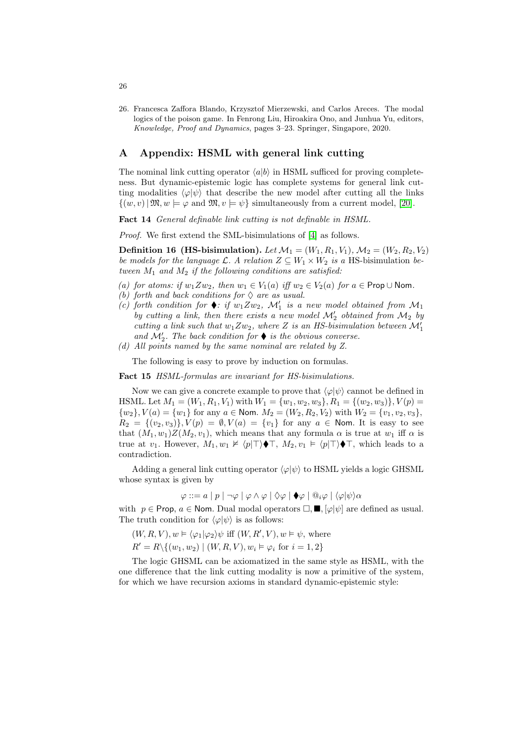<span id="page-25-0"></span>26. Francesca Zaffora Blando, Krzysztof Mierzewski, and Carlos Areces. The modal logics of the poison game. In Fenrong Liu, Hiroakira Ono, and Junhua Yu, editors, Knowledge, Proof and Dynamics, pages 3–23. Springer, Singapore, 2020.

## A Appendix: HSML with general link cutting

The nominal link cutting operator  $\langle a|b \rangle$  in HSML sufficed for proving completeness. But dynamic-epistemic logic has complete systems for general link cutting modalities  $\langle \varphi | \psi \rangle$  that describe the new model after cutting all the links  $\{(w, v) | \mathfrak{M}, w \models \varphi \text{ and } \mathfrak{M}, v \models \psi\}$  simultaneously from a current model, [\[20\]](#page-24-18).

Fact 14 General definable link cutting is not definable in HSML.

Proof. We first extend the SML-bisimulations of [\[4\]](#page-23-0) as follows.

**Definition 16 (HS-bisimulation).** Let  $M_1 = (W_1, R_1, V_1), M_2 = (W_2, R_2, V_2)$ be models for the language L. A relation  $Z \subseteq W_1 \times W_2$  is a HS-bisimulation between  $M_1$  and  $M_2$  if the following conditions are satisfied:

- (a) for atoms: if  $w_1Zw_2$ , then  $w_1 \in V_1(a)$  iff  $w_2 \in V_2(a)$  for  $a \in \text{Prop} \cup \text{Nom}$ .
- (b) forth and back conditions for  $\Diamond$  are as usual.
- (c) forth condition for  $\bullet$ : if  $w_1Zw_2$ ,  $\mathcal{M}'_1$  is a new model obtained from  $\mathcal{M}_1$ by cutting a link, then there exists a new model  $\mathcal{M}_2'$  obtained from  $\mathcal{M}_2$  by cutting a link such that  $w_1 Z w_2$ , where Z is an HS-bisimulation between  $\mathcal{M}_1'$ and  $\mathcal{M}'_2$ . The back condition for  $\blacklozenge$  is the obvious converse.
- (d) All points named by the same nominal are related by Z.

The following is easy to prove by induction on formulas.

Fact 15 HSML-formulas are invariant for HS-bisimulations.

Now we can give a concrete example to prove that  $\langle \varphi | \psi \rangle$  cannot be defined in HSML. Let  $M_1 = (W_1, R_1, V_1)$  with  $W_1 = \{w_1, w_2, w_3\}, R_1 = \{(w_2, w_3)\}, V(p) =$  $\{w_2\}$ ,  $V(a) = \{w_1\}$  for any  $a \in \mathbb{N}$ om.  $M_2 = (W_2, R_2, V_2)$  with  $W_2 = \{v_1, v_2, v_3\}$ ,  $R_2 = \{(v_2, v_3)\}, V(p) = \emptyset, V(a) = \{v_1\}$  for any  $a \in \mathbb{N}$ om. It is easy to see that  $(M_1, w_1)Z(M_2, v_1)$ , which means that any formula  $\alpha$  is true at  $w_1$  iff  $\alpha$  is true at  $v_1$ . However,  $M_1, w_1 \not\vDash \langle p| \top \rangle \blacklozenge \top$ ,  $M_2, v_1 \vDash \langle p| \top \rangle \blacklozenge \top$ , which leads to a contradiction.

Adding a general link cutting operator  $\langle \varphi | \psi \rangle$  to HSML yields a logic GHSML whose syntax is given by

$$
\varphi ::= a \mid p \mid \neg \varphi \mid \varphi \land \varphi \mid \Diamond \varphi \mid \blacklozenge \varphi \mid @_{i}\varphi \mid \langle \varphi | \psi \rangle \alpha
$$

with  $p \in \text{Prop}, a \in \text{Nom}$ . Dual modal operators  $\Box$ ,  $\Box$ ,  $[\varphi|\psi]$  are defined as usual. The truth condition for  $\langle \varphi | \psi \rangle$  is as follows:

$$
(W, R, V), w \models \langle \varphi_1 | \varphi_2 \rangle \psi
$$
 iff  $(W, R', V), w \models \psi$ , where  $R' = R \setminus \{(w_1, w_2) | (W, R, V), w_i \models \varphi_i \text{ for } i = 1, 2\}$ 

The logic GHSML can be axiomatized in the same style as HSML, with the one difference that the link cutting modality is now a primitive of the system, for which we have recursion axioms in standard dynamic-epistemic style:

26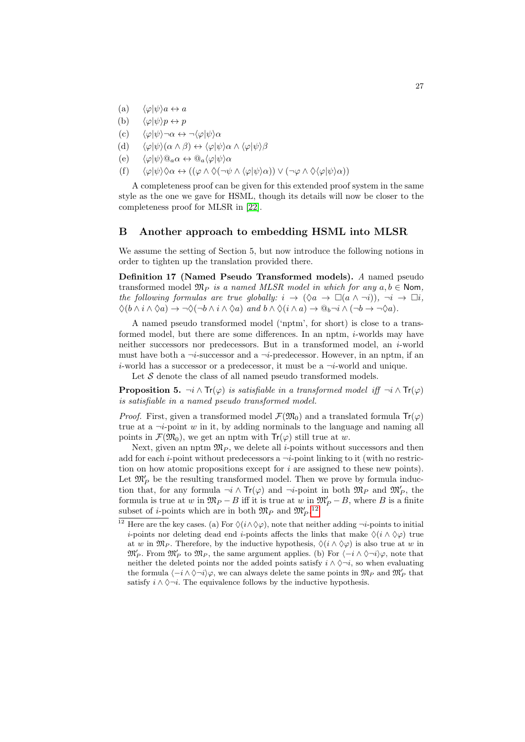- (a)  $\langle \varphi | \psi \rangle a \leftrightarrow a$
- (b)  $\langle \varphi | \psi \rangle p \leftrightarrow p$
- (c)  $\langle \varphi | \psi \rangle \neg \alpha \leftrightarrow \neg \langle \varphi | \psi \rangle \alpha$
- (d)  $\langle \varphi | \psi \rangle (\alpha \wedge \beta) \leftrightarrow \langle \varphi | \psi \rangle \alpha \wedge \langle \varphi | \psi \rangle \beta$
- (e)  $\langle \varphi | \psi \rangle @_{a} \alpha \leftrightarrow @_{a} \langle \varphi | \psi \rangle \alpha$
- (f)  $\langle \varphi | \psi \rangle \Diamond \alpha \leftrightarrow ((\varphi \land \Diamond(\neg \psi \land \langle \varphi | \psi \rangle \alpha)) \lor (\neg \varphi \land \Diamond \langle \varphi | \psi \rangle \alpha))$

A completeness proof can be given for this extended proof system in the same style as the one we gave for HSML, though its details will now be closer to the completeness proof for MLSR in [\[22\]](#page-24-8).

### B Another approach to embedding HSML into MLSR

We assume the setting of Section 5, but now introduce the following notions in order to tighten up the translation provided there.

<span id="page-26-1"></span>Definition 17 (Named Pseudo Transformed models). A named pseudo transformed model  $\mathfrak{M}_P$  is a named MLSR model in which for any  $a, b \in \mathbb{N}$ om, the following formulas are true globally:  $i \to (\Diamond a \to \Box (a \land \neg i)), \neg i \to \Box i,$  $\Diamond(b \land i \land \Diamond a) \rightarrow \neg \Diamond(\neg b \land i \land \Diamond a) \text{ and } b \land \Diamond(i \land a) \rightarrow \textcircled{a}_{b} \neg i \land (\neg b \rightarrow \neg \Diamond a).$ 

A named pseudo transformed model ('nptm', for short) is close to a transformed model, but there are some differences. In an nptm,  $i$ -worlds may have neither successors nor predecessors. But in a transformed model, an i-world must have both a  $\neg i$ -successor and a  $\neg i$ -predecessor. However, in an nptm, if an *i*-world has a successor or a predecessor, it must be a  $\neg i$ -world and unique.

Let  $S$  denote the class of all named pseudo transformed models.

**Proposition 5.**  $\neg i \wedge \text{Tr}(\varphi)$  is satisfiable in a transformed model iff  $\neg i \wedge \text{Tr}(\varphi)$ is satisfiable in a named pseudo transformed model.

*Proof.* First, given a transformed model  $\mathcal{F}(\mathfrak{M}_0)$  and a translated formula  $Tr(\varphi)$ true at a  $\neg i$ -point w in it, by adding norminals to the language and naming all points in  $\mathcal{F}(\mathfrak{M}_0)$ , we get an nptm with  $Tr(\varphi)$  still true at w.

Next, given an nptm  $\mathfrak{M}_P$ , we delete all *i*-points without successors and then add for each *i*-point without predecessors a  $\neg i$ -point linking to it (with no restriction on how atomic propositions except for  $i$  are assigned to these new points). Let  $\mathfrak{M}'_P$  be the resulting transformed model. Then we prove by formula induction that, for any formula  $\neg i \wedge \text{Tr}(\varphi)$  and  $\neg i$ -point in both  $\mathfrak{M}_P$  and  $\mathfrak{M}'_P$ , the formula is true at w in  $\mathfrak{M}_P - B$  iff it is true at w in  $\mathfrak{M}'_P - B$ , where B is a finite subset of *i*-points which are in both  $\mathfrak{M}_P$  and  $\mathfrak{M}'_P$ .<sup>[12](#page-26-0)</sup>

<span id="page-26-0"></span><sup>&</sup>lt;sup>12</sup> Here are the key cases. (a) For  $\Diamond(i \wedge \Diamond \varphi)$ , note that neither adding  $\neg i$ -points to initial i-points nor deleting dead end i-points affects the links that make  $\Diamond(i \land \Diamond \varphi)$  true at w in  $\mathfrak{M}_P$ . Therefore, by the inductive hypothesis,  $\Diamond(i \land \Diamond \varphi)$  is also true at w in  $\mathfrak{M}'_P$ . From  $\mathfrak{M}'_P$  to  $\mathfrak{M}_P$ , the same argument applies. (b) For  $\langle -i \wedge \Diamond \neg i \rangle \varphi$ , note that neither the deleted points nor the added points satisfy  $i \wedge \Diamond \neg i$ , so when evaluating the formula  $\langle -i \wedge \Diamond \neg i \rangle \varphi$ , we can always delete the same points in  $\mathfrak{M}_P$  and  $\mathfrak{M}_P'$  that satisfy  $i \wedge \Diamond \neg i$ . The equivalence follows by the inductive hypothesis.